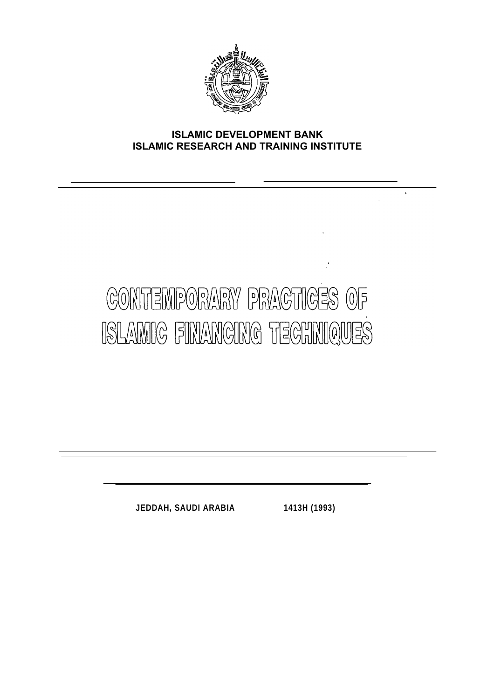

# **ISLAMIC DEVELOPMENT BANK ISLAMIC RESEARCH AND TRAINING INSTITUTE**

# **CONTEMPORARY PRACTICES OF** ISLAMIC FINANCING TECHNIQUES

**JEDDAH, SAUDI ARABIA 1413H (1993)** 

 $\ddot{\phantom{0}}$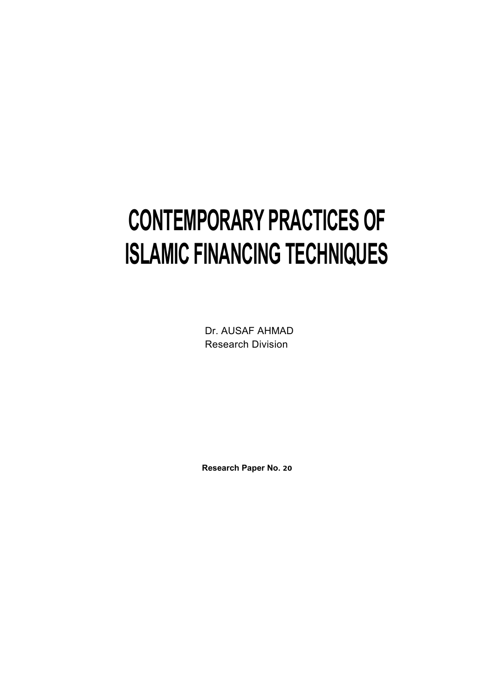# **CONTEMPORARY PRACTICES OF ISLAMIC FINANCING TECHNIQUES**

Dr. AUSAF AHMAD Research Division

**Research Paper No. 20**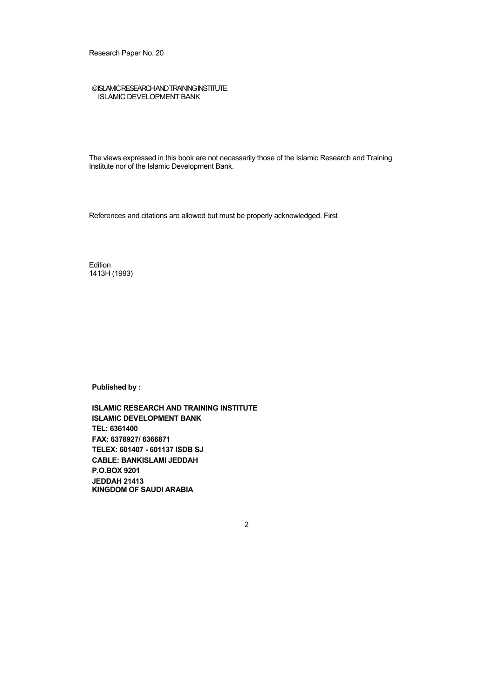Research Paper No. 20

© ISLAMIC RESEARCH AND TRAINING INSTITUTE ISLAMIC DEVELOPMENT BANK

The views expressed in this book are not necessarily those of the Islamic Research and Training Institute nor of the Islamic Development Bank.

References and citations are allowed but must be properly acknowledged. First

Edition 1413H (1993)

**Published by :** 

**ISLAMIC RESEARCH AND TRAINING INSTITUTE ISLAMIC DEVELOPMENT BANK TEL: 6361400 FAX: 6378927/ 6366871 TELEX: 601407 - 601137 ISDB SJ CABLE: BANKISLAMI JEDDAH P.O.BOX 9201 JEDDAH 21413 KINGDOM OF SAUDI ARABIA**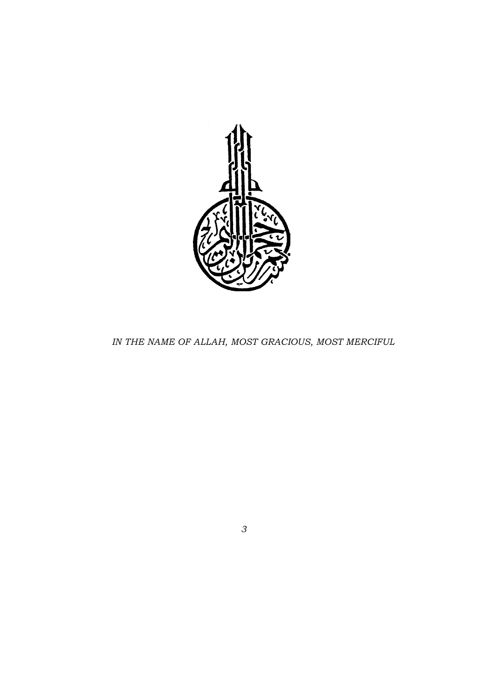

*IN THE NAME OF ALLAH, MOST GRACIOUS, MOST MERCIFUL*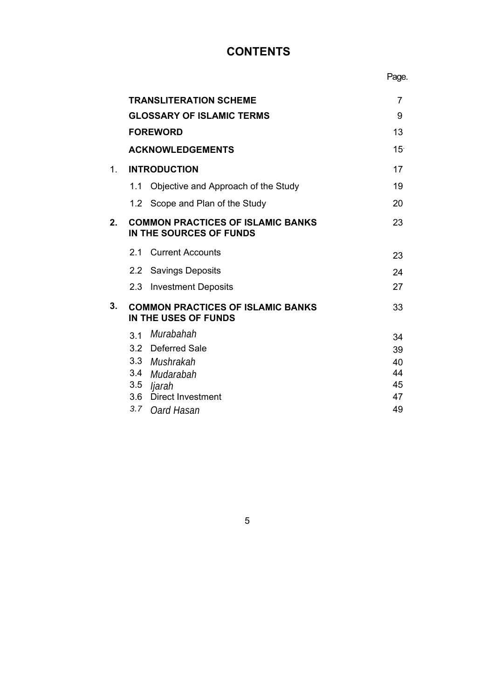# **CONTENTS**

#### **Page.** Page.

|         | <b>TRANSLITERATION SCHEME</b>                                       | $\overline{7}$  |
|---------|---------------------------------------------------------------------|-----------------|
|         | <b>GLOSSARY OF ISLAMIC TERMS</b>                                    | 9               |
|         | <b>FOREWORD</b>                                                     | 13              |
|         | <b>ACKNOWLEDGEMENTS</b>                                             | 15 <sup>°</sup> |
| $1_{-}$ | <b>INTRODUCTION</b>                                                 | 17              |
|         | Objective and Approach of the Study<br>1.1                          | 19              |
|         | 1.2 Scope and Plan of the Study                                     | 20              |
| 2.      | <b>COMMON PRACTICES OF ISLAMIC BANKS</b><br>IN THE SOURCES OF FUNDS | 23              |
|         | 2.1 Current Accounts                                                | 23              |
|         | 2.2 Savings Deposits                                                | 24              |
|         | 2.3 Investment Deposits                                             | 27              |
| 3.      | <b>COMMON PRACTICES OF ISLAMIC BANKS</b><br>IN THE USES OF FUNDS    | 33              |
|         | 3.1 Murabahah                                                       | 34              |
|         | 3.2 Deferred Sale                                                   | 39              |
|         | 3.3 Mushrakah                                                       | 40              |
|         | 3.4 Mudarabah                                                       | 44              |
|         | 3.5 ljarah                                                          | 45              |
|         | <b>Direct Investment</b><br>3.6 <sup>°</sup>                        | 47              |
|         | 3.7<br><b>Qard Hasan</b>                                            | 49              |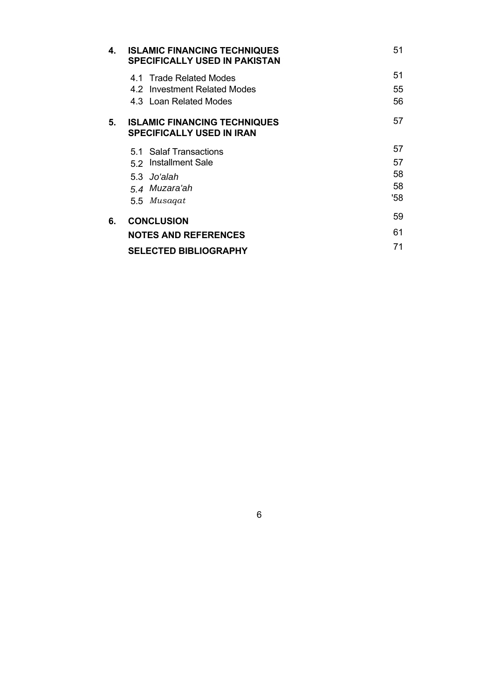| 4. | <b>ISLAMIC FINANCING TECHNIQUES</b><br><b>SPECIFICALLY USED IN PAKISTAN</b> | 51  |
|----|-----------------------------------------------------------------------------|-----|
|    | 4.1 Trade Related Modes                                                     | 51  |
|    | 4.2 Investment Related Modes                                                | 55  |
|    | 4.3 Loan Related Modes                                                      | 56  |
| 5. | <b>ISLAMIC FINANCING TECHNIQUES</b><br><b>SPECIFICALLY USED IN IRAN</b>     | 57  |
|    | 5.1 Salaf Transactions                                                      | 57  |
|    | Installment Sale<br>52                                                      | 57  |
|    | 5.3 Jo'alah                                                                 | 58  |
|    | 5.4 Muzara'ah                                                               | 58  |
|    | 5.5 Musagat                                                                 | '58 |
| 6. | <b>CONCLUSION</b>                                                           | 59  |
|    | <b>NOTES AND REFERENCES</b>                                                 | 61  |
|    | <b>SELECTED BIBLIOGRAPHY</b>                                                | 71  |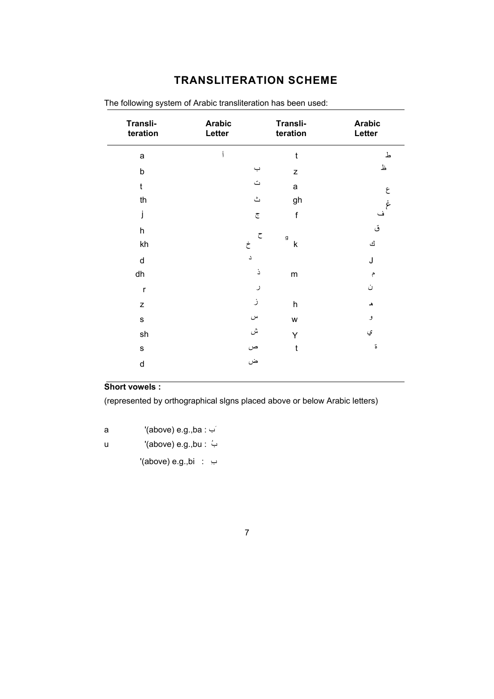# **TRANSLITERATION SCHEME**

| Transli-<br>teration | <b>Arabic</b><br>Letter |                           | Transli-<br>teration        | <b>Arabic</b><br>Letter |
|----------------------|-------------------------|---------------------------|-----------------------------|-------------------------|
| a                    |                         |                           | $\mathfrak t$               | ط                       |
| $\sf b$              |                         | پ                         | z                           | 上                       |
| $\mathfrak t$        |                         | $\mathrel{\dot\sqsubset}$ | $\mathsf{a}$                |                         |
| th                   |                         | ݺ                         | gh                          | ع<br>غ                  |
| j                    |                         | $\overline{\mathbb{C}}$   | $\mathsf f$                 |                         |
| $\mathsf h$<br>kh    |                         | $\subset$<br>خ            | $\boldsymbol{g}$<br>$\sf k$ | ق<br>اک                 |
| $\sf d$              |                         | $\Delta$                  |                             | J                       |
| dh                   |                         | ذ                         | ${\sf m}$                   | م                       |
| $\mathsf{r}$         |                         | ر                         |                             | ن                       |
| $\mathsf Z$          |                         | ز                         | $\sf h$                     | $\blacktriangle$        |
| $\mathbf s$          |                         | س                         | W                           | و                       |
| sh                   |                         | ش                         | Υ                           | ي                       |
| $\mathbf s$          |                         | ص                         | $\mathfrak t$               | $\tilde{\texttt{o}}$    |
| ${\sf d}$            |                         | ض                         |                             |                         |

The following system of Arabic transliteration has been used:

#### **Short vowels :**

(represented by orthographical slgns placed above or below Arabic letters)

a '(above) e.g.,ba : بَ u '(above) e.g.,bu : ُب  $'(above)$ e.g.,bi :  $\leftrightarrow$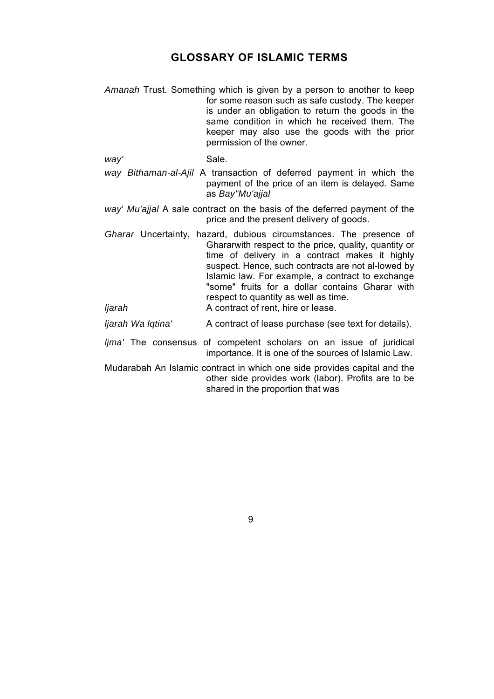# **GLOSSARY OF ISLAMIC TERMS**

*Amanah* Trust. Something which is given by a person to another to keep for some reason such as safe custody. The keeper is under an obligation to return the goods in the same condition in which he received them. The keeper may also use the goods with the prior permission of the owner.

way' Sale.

- *way Bithaman-al-Ajil* A transaction of deferred payment in which the payment of the price of an item is delayed. Same as *Bay"Mu'ajjal*
- *way' Mu'ajjal* A sale contract on the basis of the deferred payment of the price and the present delivery of goods.
- *Gharar* Uncertainty, hazard, dubious circumstances. The presence of Ghararwith respect to the price, quality, quantity or time of delivery in a contract makes it highly suspect. Hence, such contracts are not al-lowed by Islamic law. For example, a contract to exchange "some" fruits for a dollar contains Gharar with respect to quantity as well as time. *liarah* **A** contract of rent, hire or lease.
- *liarah Wa lqtina'* A contract of lease purchase (see text for details).
- *ljma'* The consensus of competent scholars on an issue of juridical importance. It is one of the sources of Islamic Law.
- Mudarabah An Islamic contract in which one side provides capital and the other side provides work (labor). Profits are to be shared in the proportion that was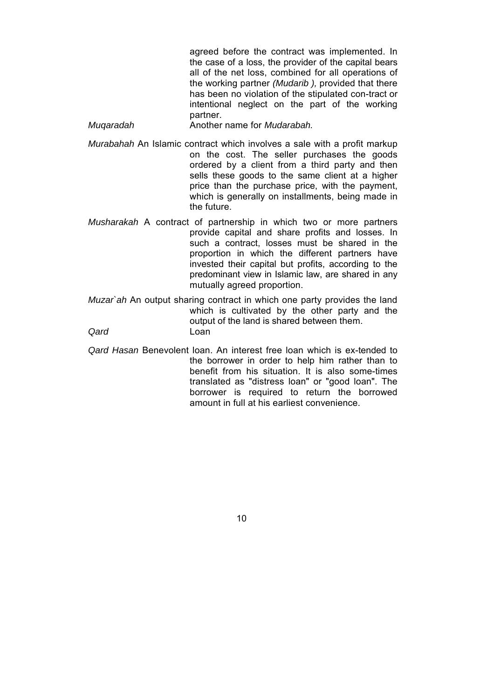agreed before the contract was implemented. In the case of a loss, the provider of the capital bears all of the net loss, combined for all operations of the working partner *(Mudarib ),* provided that there has been no violation of the stipulated con-tract or intentional neglect on the part of the working partner.

- *Muqaradah* Another name for *Mudarabah.*
- *Murabahah* An Islamic contract which involves a sale with a profit markup on the cost. The seller purchases the goods ordered by a client from a third party and then sells these goods to the same client at a higher price than the purchase price, with the payment, which is generally on installments, being made in the future.
- *Musharakah* A contract of partnership in which two or more partners provide capital and share profits and losses. In such a contract, losses must be shared in the proportion in which the different partners have invested their capital but profits, according to the predominant view in Islamic law, are shared in any mutually agreed proportion.
- *Muzar`ah* An output sharing contract in which one party provides the land which is cultivated by the other party and the output of the land is shared between them. *Qard* Loan
- *Qard Hasan* Benevolent loan. An interest free loan which is ex-tended to the borrower in order to help him rather than to benefit from his situation. It is also some-times translated as "distress loan" or "good loan". The borrower is required to return the borrowed amount in full at his earliest convenience.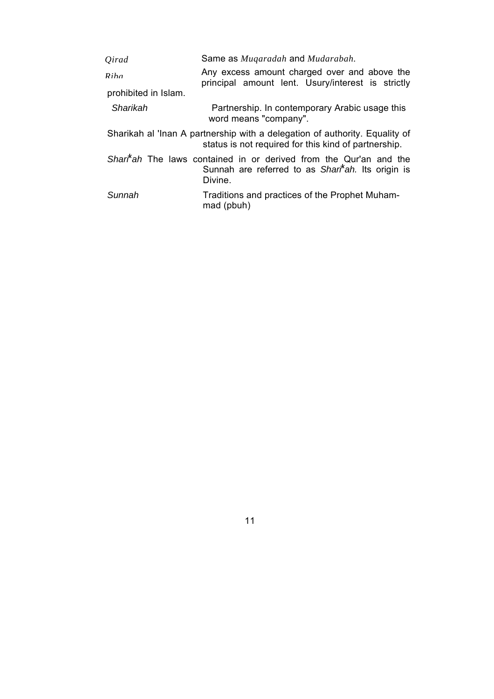| Oirad                                                                                                                               | Same as Mugaradah and Mudarabah.                                                                                                               |  |  |  |  |
|-------------------------------------------------------------------------------------------------------------------------------------|------------------------------------------------------------------------------------------------------------------------------------------------|--|--|--|--|
| Riba                                                                                                                                | Any excess amount charged over and above the<br>principal amount lent. Usury/interest is strictly                                              |  |  |  |  |
| prohibited in Islam.                                                                                                                |                                                                                                                                                |  |  |  |  |
| Sharikah                                                                                                                            | Partnership. In contemporary Arabic usage this<br>word means "company".                                                                        |  |  |  |  |
| Sharikah al 'Inan A partnership with a delegation of authority. Equality of<br>status is not required for this kind of partnership. |                                                                                                                                                |  |  |  |  |
|                                                                                                                                     | Sharr <sup>k</sup> ah The laws contained in or derived from the Qur'an and the<br>Sunnah are referred to as Shari*ah. Its origin is<br>Divine. |  |  |  |  |
| Sunnah                                                                                                                              | Traditions and practices of the Prophet Muham-<br>mad (pbuh)                                                                                   |  |  |  |  |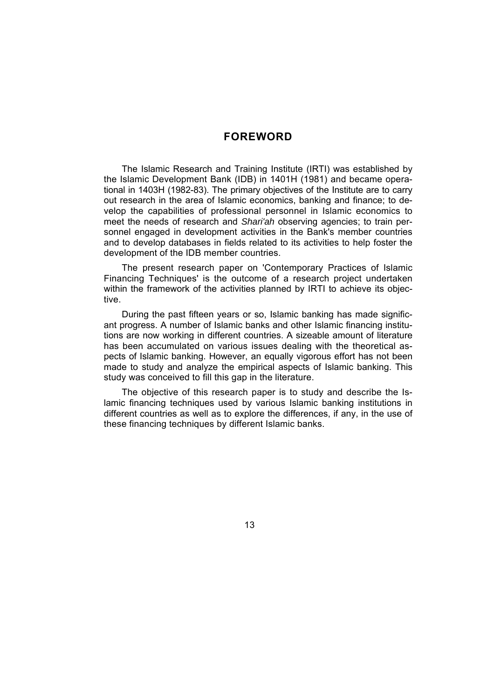## **FOREWORD**

The Islamic Research and Training Institute (IRTI) was established by the Islamic Development Bank (IDB) in 1401H (1981) and became operational in 1403H (1982-83). The primary objectives of the Institute are to carry out research in the area of Islamic economics, banking and finance; to develop the capabilities of professional personnel in Islamic economics to meet the needs of research and *Shari'ah* observing agencies; to train personnel engaged in development activities in the Bank's member countries and to develop databases in fields related to its activities to help foster the development of the IDB member countries.

The present research paper on 'Contemporary Practices of Islamic Financing Techniques' is the outcome of a research project undertaken within the framework of the activities planned by IRTI to achieve its objective.

During the past fifteen years or so, Islamic banking has made significant progress. A number of Islamic banks and other Islamic financing institutions are now working in different countries. A sizeable amount of literature has been accumulated on various issues dealing with the theoretical aspects of Islamic banking. However, an equally vigorous effort has not been made to study and analyze the empirical aspects of Islamic banking. This study was conceived to fill this gap in the literature.

The objective of this research paper is to study and describe the Islamic financing techniques used by various Islamic banking institutions in different countries as well as to explore the differences, if any, in the use of these financing techniques by different Islamic banks.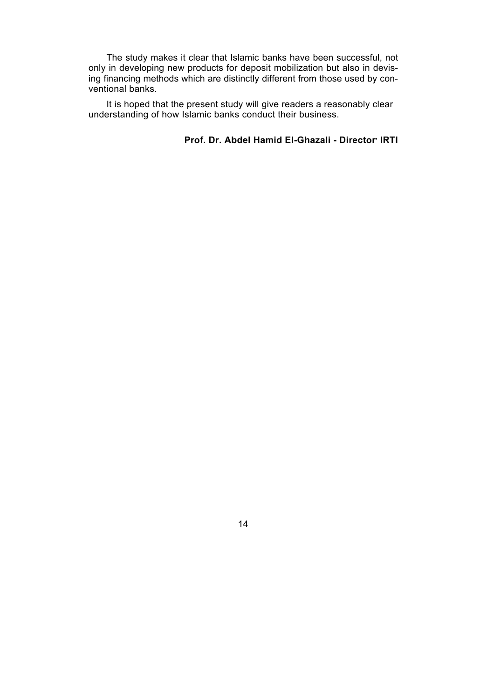The study makes it clear that Islamic banks have been successful, not only in developing new products for deposit mobilization but also in devising financing methods which are distinctly different from those used by conventional banks.

It is hoped that the present study will give readers a reasonably clear understanding of how Islamic banks conduct their business.

#### **Prof. Dr. Abdel Hamid El-Ghazali - Director, IRTI**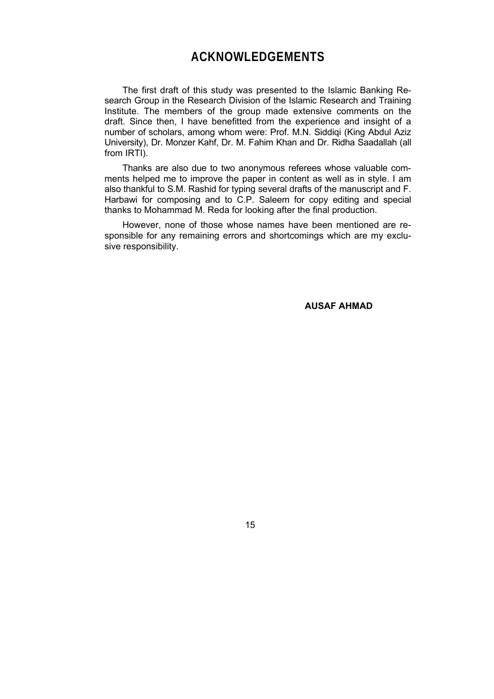# **ACKNOWLEDGEMENTS**

The first draft of this study was presented to the Islamic Banking Research Group in the Research Division of the Islamic Research and Training Institute. The members of the group made extensive comments on the draft. Since then, I have benefitted from the experience and insight of a number of scholars, among whom were: Prof. M.N. Siddiqi (King Abdul Aziz University), Dr. Monzer Kahf, Dr. M. Fahim Khan and Dr. Ridha Saadallah (all from IRTI).

Thanks are also due to two anonymous referees whose valuable comments helped me to improve the paper in content as well as in style. I am also thankful to S.M. Rashid for typing several drafts of the manuscript and F. Harbawi for composing and to C.P. Saleem for copy editing and special thanks to Mohammad M. Reda for looking after the final production.

However, none of those whose names have been mentioned are responsible for any remaining errors and shortcomings which are my exclusive responsibility.

**AUSAF AHMAD**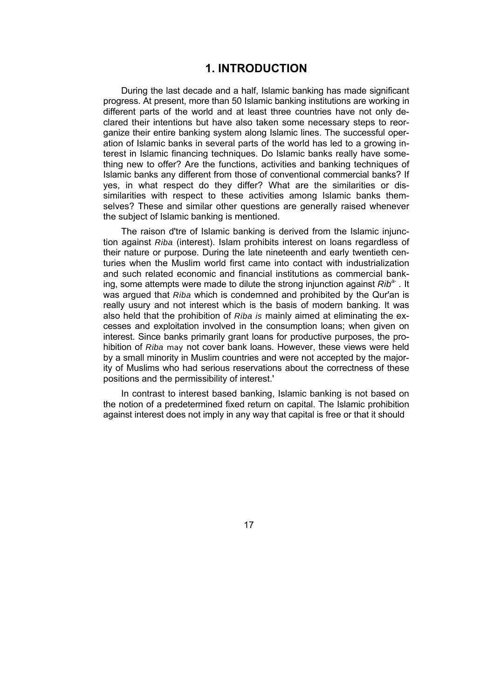## **1. INTRODUCTION**

During the last decade and a half, Islamic banking has made significant progress. At present, more than 50 Islamic banking institutions are working in different parts of the world and at least three countries have not only declared their intentions but have also taken some necessary steps to reorganize their entire banking system along Islamic lines. The successful operation of Islamic banks in several parts of the world has led to a growing interest in Islamic financing techniques. Do Islamic banks really have something new to offer? Are the functions, activities and banking techniques of Islamic banks any different from those of conventional commercial banks? If yes, in what respect do they differ? What are the similarities or dissimilarities with respect to these activities among Islamic banks themselves? These and similar other questions are generally raised whenever the subject of Islamic banking is mentioned.

The raison d'tre of Islamic banking is derived from the Islamic injunction against *Riba* (interest). Islam prohibits interest on loans regardless of their nature or purpose. During the late nineteenth and early twentieth centuries when the Muslim world first came into contact with industrialization and such related economic and financial institutions as commercial banking, some attempts were made to dilute the strong injunction against *Riba- .* It was argued that *Riba* which is condemned and prohibited by the Qur'an is really usury and not interest which is the basis of modern banking. It was also held that the prohibition of *Riba is* mainly aimed at eliminating the excesses and exploitation involved in the consumption loans; when given on interest. Since banks primarily grant loans for productive purposes, the prohibition of *Riba may* not cover bank loans. However, these views were held by a small minority in Muslim countries and were not accepted by the majority of Muslims who had serious reservations about the correctness of these positions and the permissibility of interest.'

In contrast to interest based banking, Islamic banking is not based on the notion of a predetermined fixed return on capital. The Islamic prohibition against interest does not imply in any way that capital is free or that it should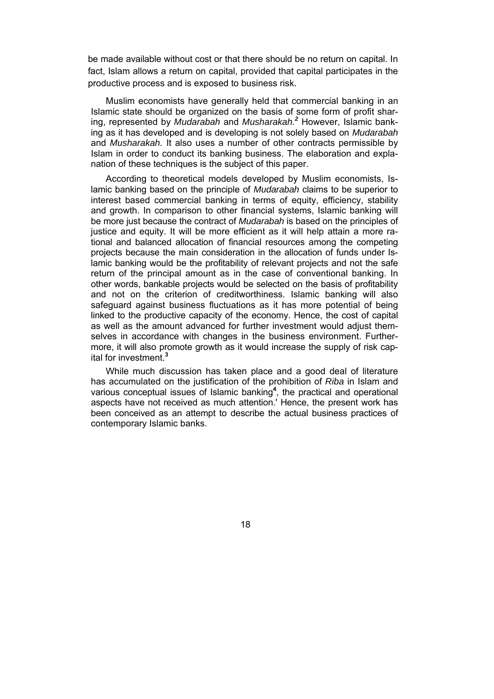be made available without cost or that there should be no return on capital. In fact, Islam allows a return on capital, provided that capital participates in the productive process and is exposed to business risk.

Muslim economists have generally held that commercial banking in an Islamic state should be organized on the basis of some form of profit sharing, represented by *Mudarabah* and *Musharakah.<sup>2</sup>* However, Islamic banking as it has developed and is developing is not solely based on *Mudarabah*  and *Musharakah.* It also uses a number of other contracts permissible by Islam in order to conduct its banking business. The elaboration and explanation of these techniques is the subject of this paper.

According to theoretical models developed by Muslim economists, Islamic banking based on the principle of *Mudarabah* claims to be superior to interest based commercial banking in terms of equity, efficiency, stability and growth. In comparison to other financial systems, Islamic banking will be more just because the contract of *Mudarabah* is based on the principles of justice and equity. It will be more efficient as it will help attain a more rational and balanced allocation of financial resources among the competing projects because the main consideration in the allocation of funds under Islamic banking would be the profitability of relevant projects and not the safe return of the principal amount as in the case of conventional banking. In other words, bankable projects would be selected on the basis of profitability and not on the criterion of creditworthiness. Islamic banking will also safeguard against business fluctuations as it has more potential of being linked to the productive capacity of the economy. Hence, the cost of capital as well as the amount advanced for further investment would adjust themselves in accordance with changes in the business environment. Furthermore, it will also promote growth as it would increase the supply of risk capital for investment.**<sup>3</sup>**

While much discussion has taken place and a good deal of literature has accumulated on the justification of the prohibition of *Riba* in Islam and various conceptual issues of Islamic banking**<sup>4</sup>** , the practical and operational aspects have not received as much attention.' Hence, the present work has been conceived as an attempt to describe the actual business practices of contemporary Islamic banks.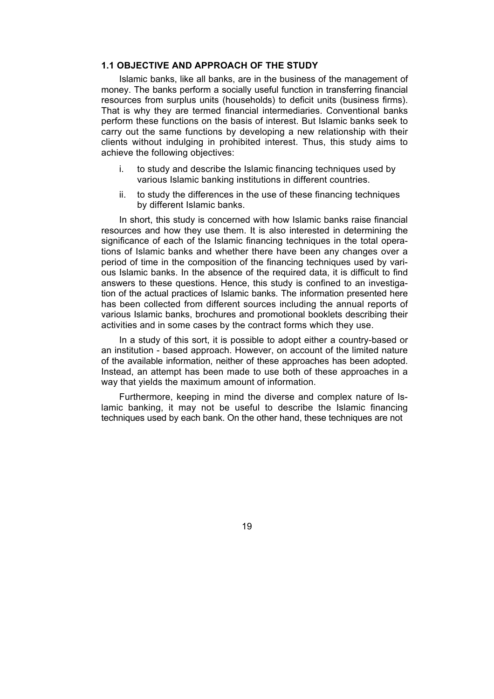#### **1.1 OBJECTIVE AND APPROACH OF THE STUDY**

Islamic banks, like all banks, are in the business of the management of money. The banks perform a socially useful function in transferring financial resources from surplus units (households) to deficit units (business firms). That is why they are termed financial intermediaries. Conventional banks perform these functions on the basis of interest. But Islamic banks seek to carry out the same functions by developing a new relationship with their clients without indulging in prohibited interest. Thus, this study aims to achieve the following objectives:

- i. to study and describe the Islamic financing techniques used by various Islamic banking institutions in different countries.
- ii. to study the differences in the use of these financing techniques by different Islamic banks.

In short, this study is concerned with how Islamic banks raise financial resources and how they use them. It is also interested in determining the significance of each of the Islamic financing techniques in the total operations of Islamic banks and whether there have been any changes over a period of time in the composition of the financing techniques used by various Islamic banks. In the absence of the required data, it is difficult to find answers to these questions. Hence, this study is confined to an investigation of the actual practices of Islamic banks. The information presented here has been collected from different sources including the annual reports of various Islamic banks, brochures and promotional booklets describing their activities and in some cases by the contract forms which they use.

In a study of this sort, it is possible to adopt either a country-based or an institution - based approach. However, on account of the limited nature of the available information, neither of these approaches has been adopted. Instead, an attempt has been made to use both of these approaches in a way that yields the maximum amount of information.

Furthermore, keeping in mind the diverse and complex nature of Islamic banking, it may not be useful to describe the Islamic financing techniques used by each bank. On the other hand, these techniques are not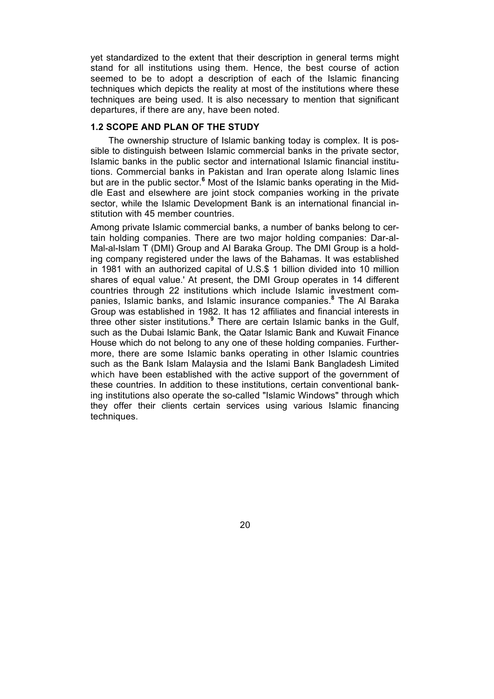yet standardized to the extent that their description in general terms might stand for all institutions using them. Hence, the best course of action seemed to be to adopt a description of each of the Islamic financing techniques which depicts the reality at most of the institutions where these techniques are being used. It is also necessary to mention that significant departures, if there are any, have been noted.

#### **1.2 SCOPE AND PLAN OF THE STUDY**

The ownership structure of Islamic banking today is complex. It is possible to distinguish between Islamic commercial banks in the private sector, Islamic banks in the public sector and international Islamic financial institutions. Commercial banks in Pakistan and Iran operate along Islamic lines but are in the public sector.<sup>6</sup> Most of the Islamic banks operating in the Middle East and elsewhere are joint stock companies working in the private sector, while the Islamic Development Bank is an international financial institution with 45 member countries.

Among private Islamic commercial banks, a number of banks belong to certain holding companies. There are two major holding companies: Dar-al-Mal-al-Islam T (DMI) Group and AI Baraka Group. The DMI Group is a holding company registered under the laws of the Bahamas. It was established in 1981 with an authorized capital of U.S.\$ 1 billion divided into 10 million shares of equal value.' At present, the DMI Group operates in 14 different countries through 22 institutions which include Islamic investment companies, Islamic banks, and Islamic insurance companies.**<sup>8</sup>** The Al Baraka Group was established in 1982. It has 12 affiliates and financial interests in three other sister institutions.**<sup>9</sup>** There are certain Islamic banks in the Gulf, such as the Dubai Islamic Bank, the Qatar Islamic Bank and Kuwait Finance House which do not belong to any one of these holding companies. Furthermore, there are some Islamic banks operating in other Islamic countries such as the Bank Islam Malaysia and the Islami Bank Bangladesh Limited *which* have been established with the active support of the government of these countries. In addition to these institutions, certain conventional banking institutions also operate the so-called "Islamic Windows" through which they offer their clients certain services using various Islamic financing techniques.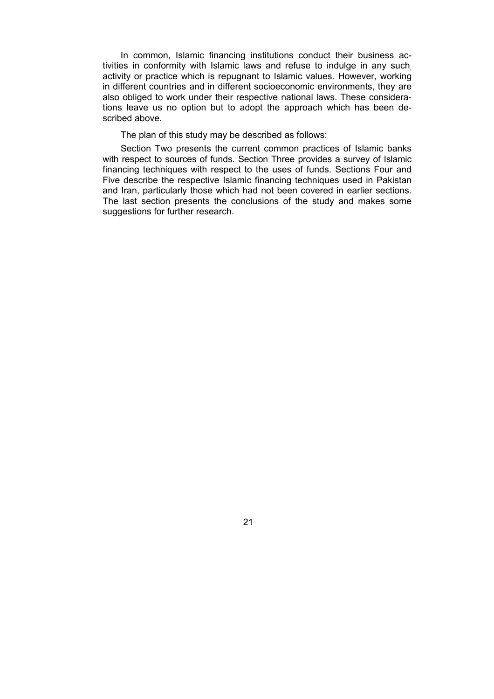In common, Islamic financing institutions conduct their business activities in conformity with Islamic laws and refuse to indulge in any such, activity or practice which is repugnant to Islamic values. However, working in different countries and in different socioeconomic environments, they are also obliged to work under their respective national laws. These considerations leave us no option but to adopt the approach which has been described above.

The plan of this study may be described as follows:

Section Two presents the current common practices of Islamic banks with respect to sources of funds. Section Three provides a survey of Islamic financing techniques with respect to the uses of funds. Sections Four and Five describe the respective Islamic financing techniques used in Pakistan and Iran, particularly those which had not been covered in earlier sections. The last section presents the conclusions of the study and makes some suggestions for further research.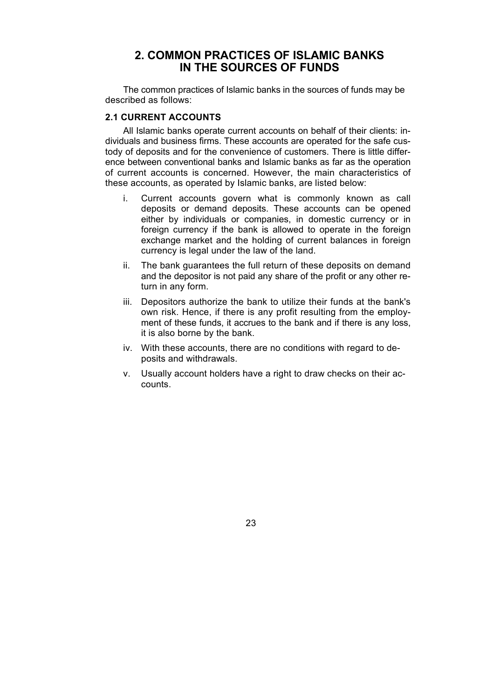# **2. COMMON PRACTICES OF ISLAMIC BANKS IN THE SOURCES OF FUNDS**

The common practices of Islamic banks in the sources of funds may be described as follows:

#### **2.1 CURRENT ACCOUNTS**

All Islamic banks operate current accounts on behalf of their clients: individuals and business firms. These accounts are operated for the safe custody of deposits and for the convenience of customers. There is little difference between conventional banks and Islamic banks as far as the operation of current accounts is concerned. However, the main characteristics of these accounts, as operated by Islamic banks, are listed below:

- i. Current accounts govern what is commonly known as call deposits or demand deposits. These accounts can be opened either by individuals or companies, in domestic currency or in foreign currency if the bank is allowed to operate in the foreign exchange market and the holding of current balances in foreign currency is legal under the law of the land.
- ii. The bank guarantees the full return of these deposits on demand and the depositor is not paid any share of the profit or any other return in any form.
- iii. Depositors authorize the bank to utilize their funds at the bank's own risk. Hence, if there is any profit resulting from the employment of these funds, it accrues to the bank and if there is any loss, it is also borne by the bank.
- iv. With these accounts, there are no conditions with regard to deposits and withdrawals.
- v. Usually account holders have a right to draw checks on their accounts.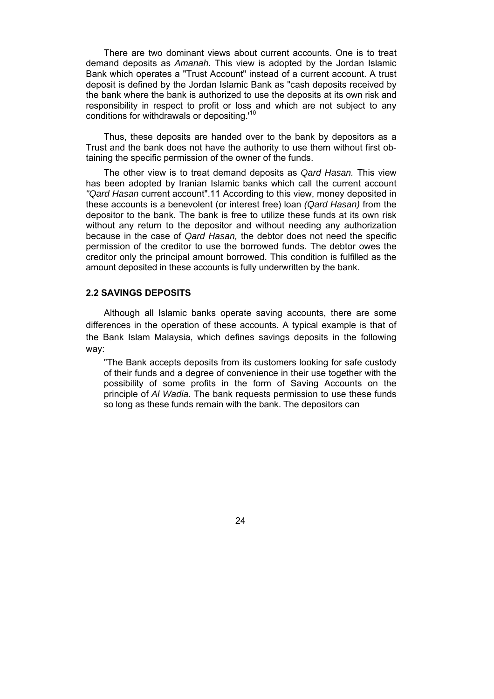There are two dominant views about current accounts. One is to treat demand deposits as *Amanah.* This view is adopted by the Jordan Islamic Bank which operates a "Trust Account" instead of a current account. A trust deposit is defined by the Jordan Islamic Bank as "cash deposits received by the bank where the bank is authorized to use the deposits at its own risk and responsibility in respect to profit or loss and which are not subject to any conditions for withdrawals or depositing.'<sup>10</sup>

Thus, these deposits are handed over to the bank by depositors as a Trust and the bank does not have the authority to use them without first obtaining the specific permission of the owner of the funds.

The other view is to treat demand deposits as *Qard Hasan.* This view has been adopted by Iranian Islamic banks which call the current account *"Qard Hasan* current account".11 According to this view, money deposited in these accounts is a benevolent (or interest free) loan *(Qard Hasan)* from the depositor to the bank. The bank is free to utilize these funds at its own risk without any return to the depositor and without needing any authorization because in the case of *Qard Hasan,* the debtor does not need the specific permission of the creditor to use the borrowed funds. The debtor owes the creditor only the principal amount borrowed. This condition is fulfilled as the amount deposited in these accounts is fully underwritten by the bank.

#### **2.2 SAVINGS DEPOSITS**

Although all Islamic banks operate saving accounts, there are some differences in the operation of these accounts. A typical example is that of the Bank Islam Malaysia, which defines savings deposits in the following way:

"The Bank accepts deposits from its customers looking for safe custody of their funds and a degree of convenience in their use together with the possibility of some profits in the form of Saving Accounts on the principle of *Al Wadia.* The bank requests permission to use these funds so long as these funds remain with the bank. The depositors can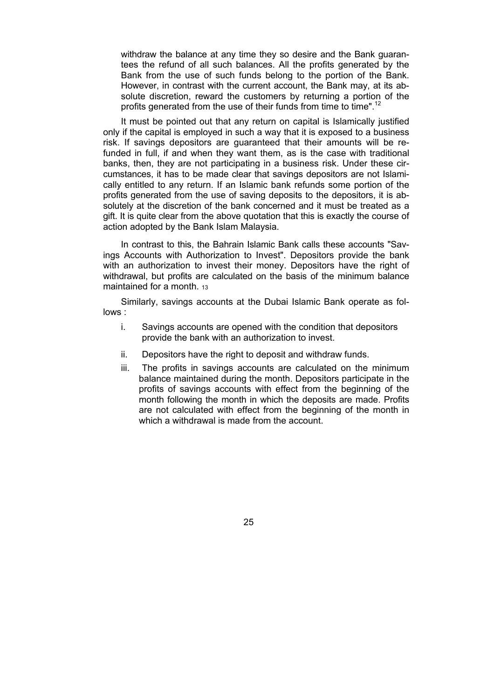withdraw the balance at any time they so desire and the Bank guarantees the refund of all such balances. All the profits generated by the Bank from the use of such funds belong to the portion of the Bank. However, in contrast with the current account, the Bank may, at its absolute discretion, reward the customers by returning a portion of the profits generated from the use of their funds from time to time".<sup>12</sup>

It must be pointed out that any return on capital is Islamically justified only if the capital is employed in such a way that it is exposed to a business risk. If savings depositors are guaranteed that their amounts will be refunded in full, if and when they want them, as is the case with traditional banks, then, they are not participating in a business risk. Under these circumstances, it has to be made clear that savings depositors are not Islamically entitled to any return. If an Islamic bank refunds some portion of the profits generated from the use of saving deposits to the depositors, it is absolutely at the discretion of the bank concerned and it must be treated as a gift. It is quite clear from the above quotation that this is exactly the course of action adopted by the Bank Islam Malaysia.

In contrast to this, the Bahrain Islamic Bank calls these accounts "Savings Accounts with Authorization to Invest". Depositors provide the bank with an authorization to invest their money. Depositors have the right of withdrawal, but profits are calculated on the basis of the minimum balance maintained for a month. 13

Similarly, savings accounts at the Dubai Islamic Bank operate as follows :

- i. Savings accounts are opened with the condition that depositors provide the bank with an authorization to invest.
- ii. Depositors have the right to deposit and withdraw funds.
- iii. The profits in savings accounts are calculated on the minimum balance maintained during the month. Depositors participate in the profits of savings accounts with effect from the beginning of the month following the month in which the deposits are made. Profits are not calculated with effect from the beginning of the month in which a withdrawal is made from the account.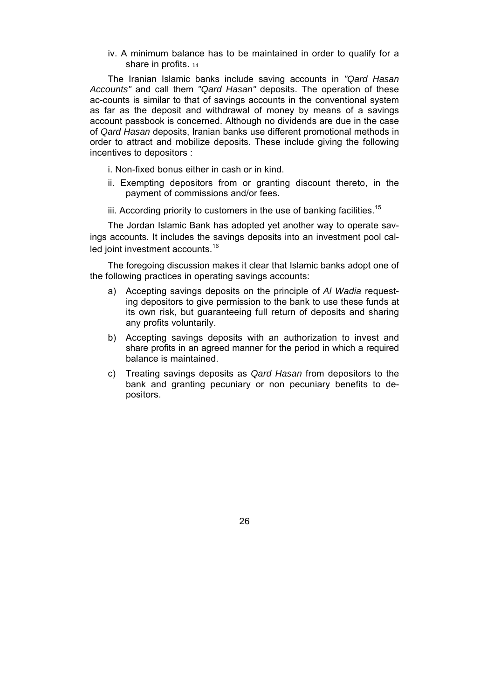iv. A minimum balance has to be maintained in order to qualify for a share in profits. 14

The Iranian Islamic banks include saving accounts in *"Qard Hasan Accounts"* and call them *"Qard Hasan"* deposits. The operation of these ac-counts is similar to that of savings accounts in the conventional system as far as the deposit and withdrawal of money by means of a savings account passbook is concerned. Although no dividends are due in the case of *Qard Hasan* deposits, Iranian banks use different promotional methods in order to attract and mobilize deposits. These include giving the following incentives to depositors :

- i. Non-fixed bonus either in cash or in kind.
- ii. Exempting depositors from or granting discount thereto, in the payment of commissions and/or fees.
- iii. According priority to customers in the use of banking facilities.<sup>15</sup>

The Jordan Islamic Bank has adopted yet another way to operate savings accounts. It includes the savings deposits into an investment pool called joint investment accounts.<sup>16</sup>

The foregoing discussion makes it clear that Islamic banks adopt one of the following practices in operating savings accounts:

- a) Accepting savings deposits on the principle of *Al Wadia* requesting depositors to give permission to the bank to use these funds at its own risk, but guaranteeing full return of deposits and sharing any profits voluntarily.
- b) Accepting savings deposits with an authorization to invest and share profits in an agreed manner for the period in which a required balance is maintained.
- c) Treating savings deposits as *Qard Hasan* from depositors to the bank and granting pecuniary or non pecuniary benefits to depositors.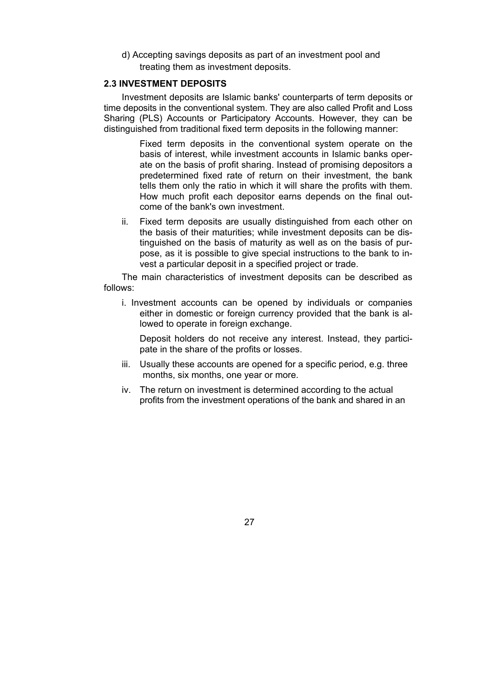d) Accepting savings deposits as part of an investment pool and treating them as investment deposits.

#### **2.3 INVESTMENT DEPOSITS**

Investment deposits are Islamic banks' counterparts of term deposits or time deposits in the conventional system. They are also called Profit and Loss Sharing (PLS) Accounts or Participatory Accounts. However, they can be distinguished from traditional fixed term deposits in the following manner:

> Fixed term deposits in the conventional system operate on the basis of interest, while investment accounts in Islamic banks operate on the basis of profit sharing. Instead of promising depositors a predetermined fixed rate of return on their investment, the bank tells them only the ratio in which it will share the profits with them. How much profit each depositor earns depends on the final outcome of the bank's own investment.

ii. Fixed term deposits are usually distinguished from each other on the basis of their maturities; while investment deposits can be distinguished on the basis of maturity as well as on the basis of purpose, as it is possible to give special instructions to the bank to invest a particular deposit in a specified project or trade.

The main characteristics of investment deposits can be described as follows:

i. Investment accounts can be opened by individuals or companies either in domestic or foreign currency provided that the bank is allowed to operate in foreign exchange.

Deposit holders do not receive any interest. Instead, they participate in the share of the profits or losses.

- iii. Usually these accounts are opened for a specific period, e.g. three months, six months, one year or more.
- iv. The return on investment is determined according to the actual profits from the investment operations of the bank and shared in an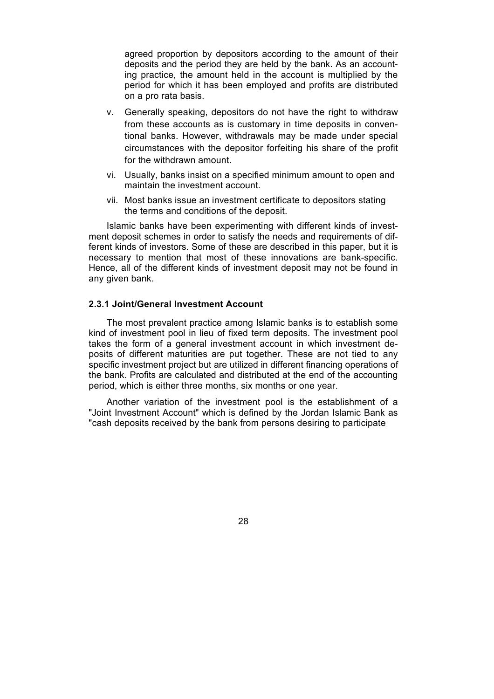agreed proportion by depositors according to the amount of their deposits and the period they are held by the bank. As an accounting practice, the amount held in the account is multiplied by the period for which it has been employed and profits are distributed on a pro rata basis.

- v. Generally speaking, depositors do not have the right to withdraw from these accounts as is customary in time deposits in conventional banks. However, withdrawals may be made under special circumstances with the depositor forfeiting his share of the profit for the withdrawn amount.
- vi. Usually, banks insist on a specified minimum amount to open and maintain the investment account.
- vii. Most banks issue an investment certificate to depositors stating the terms and conditions of the deposit.

Islamic banks have been experimenting with different kinds of investment deposit schemes in order to satisfy the needs and requirements of different kinds of investors. Some of these are described in this paper, but it is necessary to mention that most of these innovations are bank-specific. Hence, all of the different kinds of investment deposit may not be found in any given bank.

#### **2.3.1 Joint/General Investment Account**

The most prevalent practice among Islamic banks is to establish some kind of investment pool in lieu of fixed term deposits. The investment pool takes the form of a general investment account in which investment deposits of different maturities are put together. These are not tied to any specific investment project but are utilized in different financing operations of the bank. Profits are calculated and distributed at the end of the accounting period, which is either three months, six months or one year.

Another variation of the investment pool is the establishment of a "Joint Investment Account" which is defined by the Jordan Islamic Bank as "cash deposits received by the bank from persons desiring to participate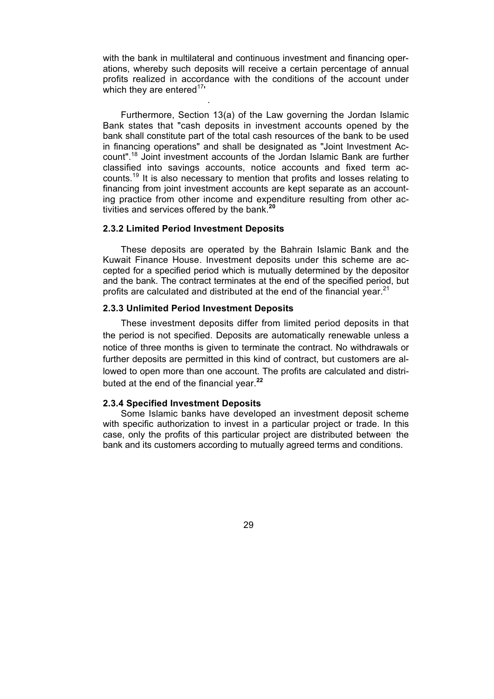with the bank in multilateral and continuous investment and financing operations, whereby such deposits will receive a certain percentage of annual profits realized in accordance with the conditions of the account under which they are entered $17'$ 

Furthermore, Section 13(a) of the Law governing the Jordan Islamic Bank states that "cash deposits in investment accounts opened by the bank shall constitute part of the total cash resources of the bank to be used in financing operations" and shall be designated as "Joint Investment Account".18 Joint investment accounts of the Jordan Islamic Bank are further classified into savings accounts, notice accounts and fixed term accounts.19 It is also necessary to mention that profits and losses relating to financing from joint investment accounts are kept separate as an accounting practice from other income and expenditure resulting from other activities and services offered by the bank.**<sup>20</sup>**

#### **2.3.2 Limited Period Investment Deposits**

.

These deposits are operated by the Bahrain Islamic Bank and the Kuwait Finance House. Investment deposits under this scheme are accepted for a specified period which is mutually determined by the depositor and the bank. The contract terminates at the end of the specified period, but profits are calculated and distributed at the end of the financial year. $21$ 

#### **2.3.3 Unlimited Period Investment Deposits**

These investment deposits differ from limited period deposits in that the period is not specified. Deposits are automatically renewable unless a notice of three months is given to terminate the contract. No withdrawals or further deposits are permitted in this kind of contract, but customers are allowed to open more than one account. The profits are calculated and distributed at the end of the financial year.**<sup>22</sup>**

#### **2.3.4 Specified Investment Deposits**

Some Islamic banks have developed an investment deposit scheme with specific authorization to invest in a particular project or trade. In this case, only the profits of this particular project are distributed between the bank and its customers according to mutually agreed terms and conditions.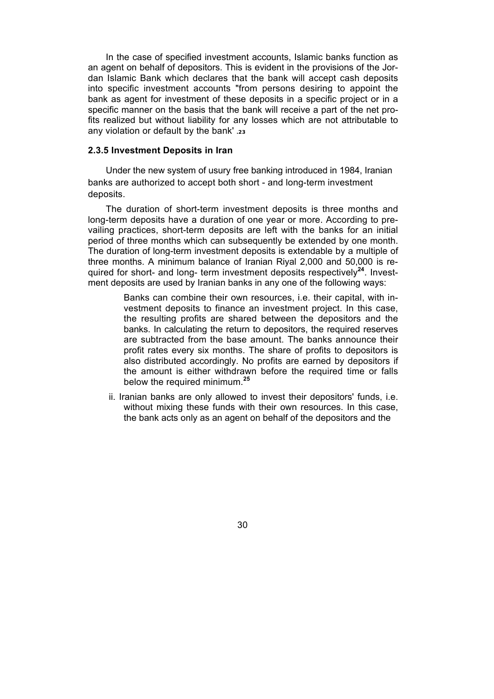In the case of specified investment accounts, Islamic banks function as an agent on behalf of depositors. This is evident in the provisions of the Jordan Islamic Bank which declares that the bank will accept cash deposits into specific investment accounts "from persons desiring to appoint the bank as agent for investment of these deposits in a specific project or in a specific manner on the basis that the bank will receive a part of the net profits realized but without liability for any losses which are not attributable to any violation or default by the bank' **.23** 

#### **2.3.5 Investment Deposits in Iran**

Under the new system of usury free banking introduced in 1984, Iranian banks are authorized to accept both short - and long-term investment deposits.

The duration of short-term investment deposits is three months and long-term deposits have a duration of one year or more. According to prevailing practices, short-term deposits are left with the banks for an initial period of three months which can subsequently be extended by one month. The duration of long-term investment deposits is extendable by a multiple of three months. A minimum balance of Iranian Riyal 2,000 and 50,000 is required for short- and long- term investment deposits respectively**<sup>24</sup>**. Investment deposits are used by Iranian banks in any one of the following ways:

> Banks can combine their own resources, i.e. their capital, with investment deposits to finance an investment project. In this case, the resulting profits are shared between the depositors and the banks. In calculating the return to depositors, the required reserves are subtracted from the base amount. The banks announce their profit rates every six months. The share of profits to depositors is also distributed accordingly. No profits are earned by depositors if the amount is either withdrawn before the required time or falls below the required minimum.**<sup>25</sup>**

ii. Iranian banks are only allowed to invest their depositors' funds, i.e. without mixing these funds with their own resources. In this case, the bank acts only as an agent on behalf of the depositors and the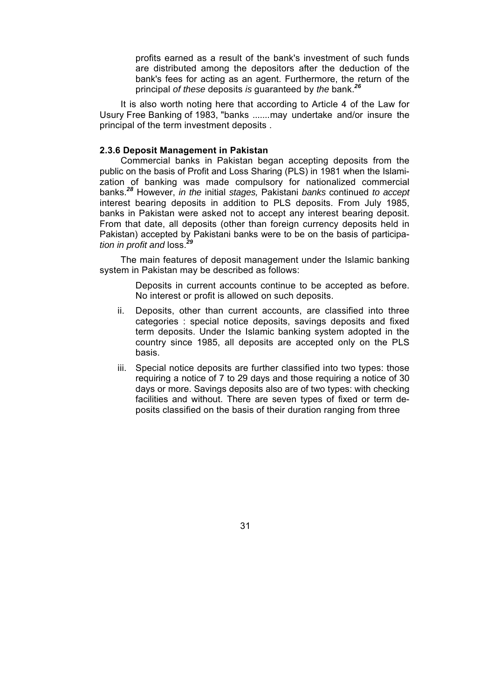profits earned as a result of the bank's investment of such funds are distributed among the depositors after the deduction of the bank's fees for acting as an agent. Furthermore, the return of the principal *of these* deposits *is* guaranteed by *the* bank.*<sup>26</sup>*

It is also worth noting here that according to Article 4 of the Law for Usury Free Banking of 1983, "banks .......may undertake and/or insure the principal of the term investment deposits .

#### **2.3.6 Deposit Management in Pakistan**

Commercial banks in Pakistan began accepting deposits from the public on the basis of Profit and Loss Sharing (PLS) in 1981 when the Islamization of banking was made compulsory for nationalized commercial banks.*<sup>28</sup>* However, *in the* initial *stages,* Pakistani *banks* continued *to accept*  interest bearing deposits in addition to PLS deposits. From July 1985, banks in Pakistan were asked not to accept any interest bearing deposit. From that date, all deposits (other than foreign currency deposits held in Pakistan) accepted by Pakistani banks were to be on the basis of participa*tion in profit and* loss.*<sup>29</sup>*

The main features of deposit management under the Islamic banking system in Pakistan may be described as follows:

> Deposits in current accounts continue to be accepted as before. No interest or profit is allowed on such deposits.

- ii. Deposits, other than current accounts, are classified into three categories : special notice deposits, savings deposits and fixed term deposits. Under the Islamic banking system adopted in the country since 1985, all deposits are accepted only on the PLS basis.
- iii. Special notice deposits are further classified into two types: those requiring a notice of 7 to 29 days and those requiring a notice of 30 days or more. Savings deposits also are of two types: with checking facilities and without. There are seven types of fixed or term deposits classified on the basis of their duration ranging from three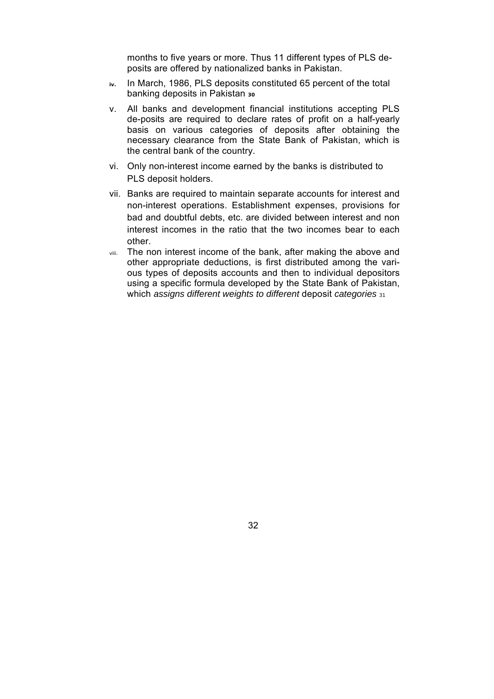months to five years or more. Thus 11 different types of PLS deposits are offered by nationalized banks in Pakistan.

- **iv.** In March, 1986, PLS deposits constituted 65 percent of the total banking deposits in Pakistan **<sup>30</sup>**
- v. All banks and development financial institutions accepting PLS de-posits are required to declare rates of profit on a half-yearly basis on various categories of deposits after obtaining the necessary clearance from the State Bank of Pakistan, which is the central bank of the country.
- vi. Only non-interest income earned by the banks is distributed to PLS deposit holders.
- vii. Banks are required to maintain separate accounts for interest and non-interest operations. Establishment expenses, provisions for bad and doubtful debts, etc. are divided between interest and non interest incomes in the ratio that the two incomes bear to each other.
- viii. The non interest income of the bank, after making the above and other appropriate deductions, is first distributed among the various types of deposits accounts and then to individual depositors using a specific formula developed by the State Bank of Pakistan, which *assigns different weights to different* deposit *categories* <sup>31</sup>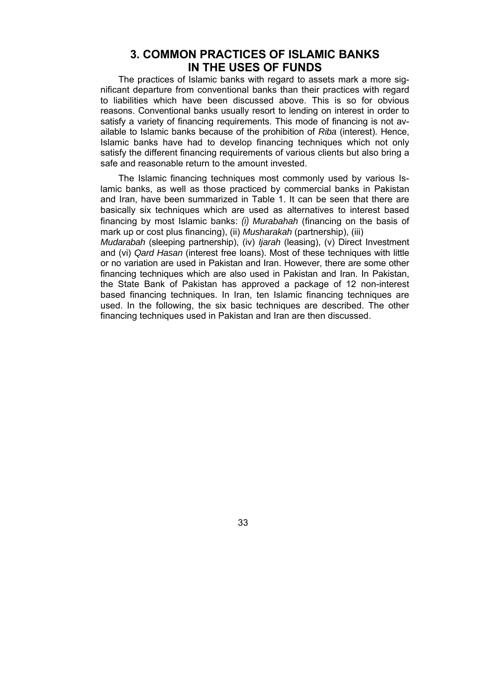# **3. COMMON PRACTICES OF ISLAMIC BANKS IN THE USES OF FUNDS**

The practices of Islamic banks with regard to assets mark a more significant departure from conventional banks than their practices with regard to liabilities which have been discussed above. This is so for obvious reasons. Conventional banks usually resort to lending on interest in order to satisfy a variety of financing requirements. This mode of financing is not available to Islamic banks because of the prohibition of *Riba* (interest). Hence, Islamic banks have had to develop financing techniques which not only satisfy the different financing requirements of various clients but also bring a safe and reasonable return to the amount invested.

The Islamic financing techniques most commonly used by various Islamic banks, as well as those practiced by commercial banks in Pakistan and Iran, have been summarized in Table 1. It can be seen that there are basically six techniques which are used as alternatives to interest based financing by most Islamic banks: *(i) Murabahah* (financing on the basis of mark up or cost plus financing), (ii) *Musharakah* (partnership), (iii) *Mudarabah* (sleeping partnership), (iv) *Ijarah* (leasing), (v) Direct Investment

and (vi) *Qard Hasan* (interest free loans). Most of these techniques with little or no variation are used in Pakistan and Iran. However, there are some other financing techniques which are also used in Pakistan and Iran. In Pakistan, the State Bank of Pakistan has approved a package of 12 non-interest based financing techniques. In Iran, ten Islamic financing techniques are used. In the following, the six basic techniques are described. The other financing techniques used in Pakistan and Iran are then discussed.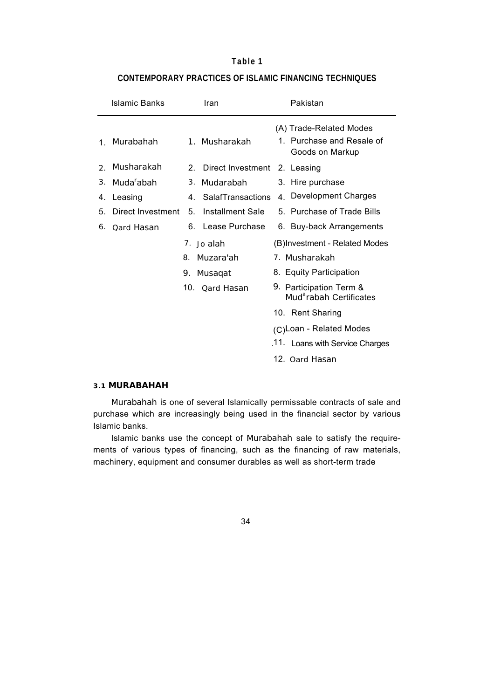#### **Table 1**

|               | Islamic Banks             |         | Iran                         | Pakistan                                                                |
|---------------|---------------------------|---------|------------------------------|-------------------------------------------------------------------------|
| $1 \quad$     | Murabahah                 |         | 1. Musharakah                | (A) Trade-Related Modes<br>1. Purchase and Resale of<br>Goods on Markup |
| $\mathcal{P}$ | Musharakah                | 2       | Direct Investment 2. Leasing |                                                                         |
|               | 3. Muda <sup>r</sup> abah | 3.      | Mudarabah                    | 3. Hire purchase                                                        |
|               | 4. Leasing                | $4_{-}$ | SalafTransactions            | 4. Development Charges                                                  |
| 5.            | Direct Investment         | 5.      | Installment Sale             | 5. Purchase of Trade Bills                                              |
| 6.            | Oard Hasan                |         | 6. Lease Purchase            | 6. Buy-back Arrangements                                                |
|               |                           |         | 7. Jo alah                   | (B) Investment - Related Modes                                          |
|               |                           | 8.      | Muzara'ah                    | 7. Musharakah                                                           |
|               |                           |         | 9. Musaqat                   | 8. Equity Participation                                                 |
|               |                           | 10.     | Oard Hasan                   | 9. Participation Term &<br>Mud <sup>e</sup> rabah Certificates          |
|               |                           |         |                              | 10. Rent Sharing                                                        |
|               |                           |         |                              | (C)Loan - Related Modes                                                 |
|               |                           |         |                              | 11. Loans with Service Charges                                          |
|               |                           |         |                              | 12. <i>Oard Hasan</i>                                                   |

### **CONTEMPORARY PRACTICES OF ISLAMIC FINANCING TECHNIQUES**

#### **3.1** *MURABAHAH*

*Murabahah is* one of several Islamically permissable contracts of sale and purchase which are increasingly being used in the financial sector by various Islamic banks.

Islamic banks use the concept of *Murabahah* sale to satisfy the requirements of various types of financing, such as the financing of raw materials, machinery, equipment and consumer durables as well as short-term trade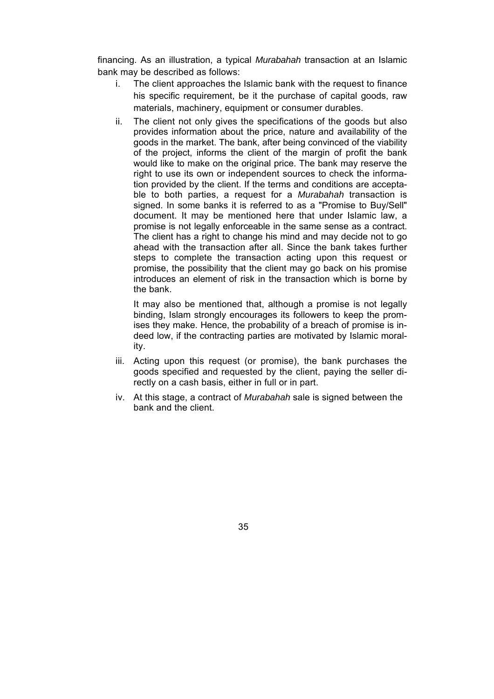financing. As an illustration, a typical *Murabahah* transaction at an Islamic bank may be described as follows:

- i. The client approaches the Islamic bank with the request to finance his specific requirement, be it the purchase of capital goods, raw materials, machinery, equipment or consumer durables.
- ii. The client not only gives the specifications of the goods but also provides information about the price, nature and availability of the goods in the market. The bank, after being convinced of the viability of the project, informs the client of the margin of profit the bank would like to make on the original price. The bank may reserve the right to use its own or independent sources to check the information provided by the client. If the terms and conditions are acceptable to both parties, a request for a *Murabahah* transaction is signed. In some banks it is referred to as a "Promise to Buy/Sell" document. It may be mentioned here that under Islamic law, a promise is not legally enforceable in the same sense as a contract. The client has a right to change his mind and may decide not to go ahead with the transaction after all. Since the bank takes further steps to complete the transaction acting upon this request or promise, the possibility that the client may go back on his promise introduces an element of risk in the transaction which is borne by the bank.

It may also be mentioned that, although a promise is not legally binding, Islam strongly encourages its followers to keep the promises they make. Hence, the probability of a breach of promise is indeed low, if the contracting parties are motivated by Islamic morality.

- iii. Acting upon this request (or promise), the bank purchases the goods specified and requested by the client, paying the seller directly on a cash basis, either in full or in part.
- iv. At this stage, a contract of *Murabahah* sale is signed between the bank and the client.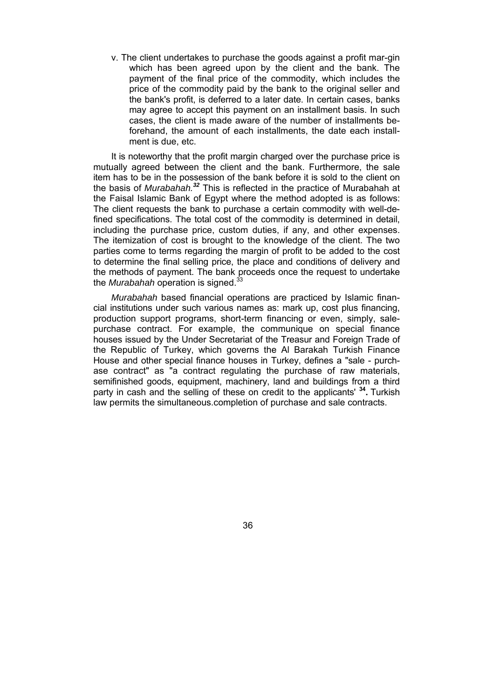v. The client undertakes to purchase the goods against a profit mar-gin which has been agreed upon by the client and the bank. The payment of the final price of the commodity, which includes the price of the commodity paid by the bank to the original seller and the bank's profit, is deferred to a later date. In certain cases, banks may agree to accept this payment on an installment basis. In such cases, the client is made aware of the number of installments beforehand, the amount of each installments, the date each installment is due, etc.

It is noteworthy that the profit margin charged over the purchase price is mutually agreed between the client and the bank. Furthermore, the sale item has to be in the possession of the bank before it is sold to the client on the basis of *Murabahah.<sup>32</sup>* This is reflected in the practice of Murabahah at the Faisal Islamic Bank of Egypt where the method adopted is as follows: The client requests the bank to purchase a certain commodity with well-defined specifications. The total cost of the commodity is determined in detail, including the purchase price, custom duties, if any, and other expenses. The itemization of cost is brought to the knowledge of the client. The two parties come to terms regarding the margin of profit to be added to the cost to determine the final selling price, the place and conditions of delivery and the methods of payment. The bank proceeds once the request to undertake the *Murabahah* operation is signed.<sup>33</sup>

*Murabahah* based financial operations are practiced by Islamic financial institutions under such various names as: mark up, cost plus financing, production support programs, short-term financing or even, simply, salepurchase contract. For example, the communique on special finance houses issued by the Under Secretariat of the Treasur and Foreign Trade of the Republic of Turkey, which governs the Al Barakah Turkish Finance House and other special finance houses in Turkey, defines a "sale - purchase contract" as "a contract regulating the purchase of raw materials, semifinished goods, equipment, machinery, land and buildings from a third party in cash and the selling of these on credit to the applicants' **34.** Turkish law permits the simultaneous.completion of purchase and sale contracts.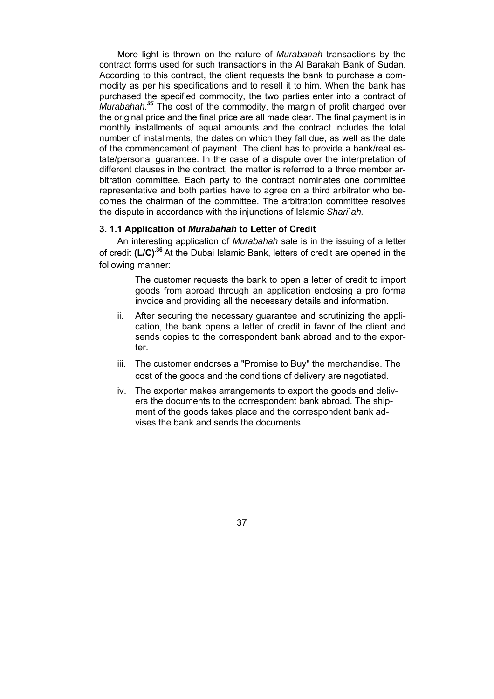More light is thrown on the nature of *Murabahah* transactions by the contract forms used for such transactions in the Al Barakah Bank of Sudan. According to this contract, the client requests the bank to purchase a commodity as per his specifications and to resell it to him. When the bank has purchased the specified commodity, the two parties enter into a contract of *Murabahah.<sup>35</sup>* The cost of the commodity, the margin of profit charged over the original price and the final price are all made clear. The final payment is in monthly installments of equal amounts and the contract includes the total number of installments, the dates on which they fall due, as well as the date of the commencement of payment. The client has to provide a bank/real estate/personal guarantee. In the case of a dispute over the interpretation of different clauses in the contract, the matter is referred to a three member arbitration committee. Each party to the contract nominates one committee representative and both parties have to agree on a third arbitrator who becomes the chairman of the committee. The arbitration committee resolves the dispute in accordance with the injunctions of Islamic *Shari`ah.* 

#### **3. 1.1 Application of** *Murabahah* **to Letter of Credit**

An interesting application of *Murabahah* sale is in the issuing of a letter of credit **(L/C).36** At the Dubai Islamic Bank, letters of credit are opened in the following manner:

> The customer requests the bank to open a letter of credit to import goods from abroad through an application enclosing a pro forma invoice and providing all the necessary details and information.

- ii. After securing the necessary guarantee and scrutinizing the application, the bank opens a letter of credit in favor of the client and sends copies to the correspondent bank abroad and to the exporter.
- iii. The customer endorses a "Promise to Buy" the merchandise. The cost of the goods and the conditions of delivery are negotiated.
- iv. The exporter makes arrangements to export the goods and delivers the documents to the correspondent bank abroad. The shipment of the goods takes place and the correspondent bank advises the bank and sends the documents.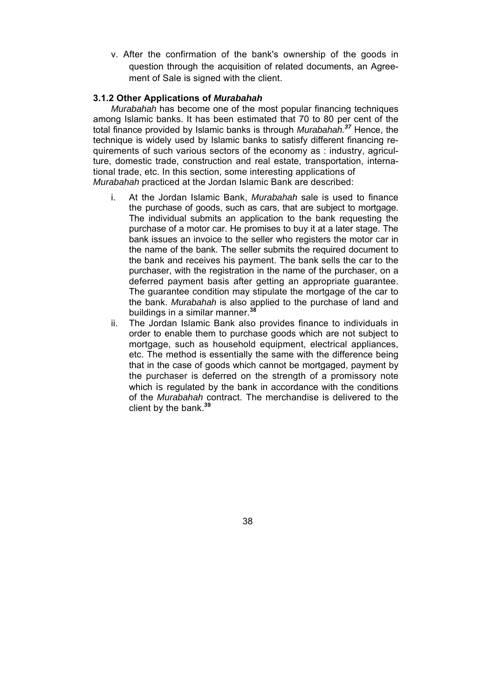v. After the confirmation of the bank's ownership of the goods in question through the acquisition of related documents, an Agreement of Sale is signed with the client.

#### **3.1.2 Other Applications of** *Murabahah*

*Murabahah* has become one of the most popular financing techniques among Islamic banks. It has been estimated that 70 to 80 per cent of the total finance provided by Islamic banks is through *Murabahah.<sup>37</sup>* Hence, the technique is widely used by Islamic banks to satisfy different financing requirements of such various sectors of the economy as : industry, agriculture, domestic trade, construction and real estate, transportation, international trade, etc. In this section, some interesting applications of *Murabahah* practiced at the Jordan Islamic Bank are described:

- i. At the Jordan Islamic Bank, *Murabahah* sale is used to finance the purchase of goods, such as cars, that are subject to mortgage. The individual submits an application to the bank requesting the purchase of a motor car. He promises to buy it at a later stage. The bank issues an invoice to the seller who registers the motor car in the name of the bank. The seller submits the required document to the bank and receives his payment. The bank sells the car to the purchaser, with the registration in the name of the purchaser, on a deferred payment basis after getting an appropriate guarantee. The guarantee condition may stipulate the mortgage of the car to the bank. *Murabahah* is also applied to the purchase of land and buildings in a similar manner.**<sup>38</sup>**
- ii. The Jordan Islamic Bank also provides finance to individuals in order to enable them to purchase goods which are not subject to mortgage, such as household equipment, electrical appliances, etc. The method is essentially the same with the difference being that in the case of goods which cannot be mortgaged, payment by the purchaser is deferred on the strength of a promissory note which is regulated by the bank in accordance with the conditions of the *Murabahah* contract. The merchandise is delivered to the client by the bank.**<sup>39</sup>**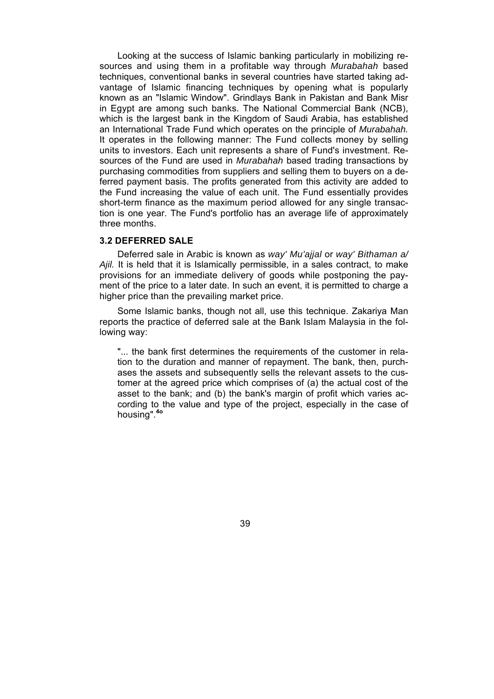Looking at the success of Islamic banking particularly in mobilizing resources and using them in a profitable way through *Murabahah* based techniques, conventional banks in several countries have started taking advantage of Islamic financing techniques by opening what is popularly known as an "Islamic Window". Grindlays Bank in Pakistan and Bank Misr in Egypt are among such banks. The National Commercial Bank (NCB), which is the largest bank in the Kingdom of Saudi Arabia, has established an International Trade Fund which operates on the principle of *Murabahah.*  It operates in the following manner: The Fund collects money by selling units to investors. Each unit represents a share of Fund's investment. Resources of the Fund are used in *Murabahah* based trading transactions by purchasing commodities from suppliers and selling them to buyers on a deferred payment basis. The profits generated from this activity are added to the Fund increasing the value of each unit. The Fund essentially provides short-term finance as the maximum period allowed for any single transaction is one year. The Fund's portfolio has an average life of approximately three months.

#### **3.2 DEFERRED SALE**

Deferred sale in Arabic is known as *way' Mu'ajjal* or *way' Bithaman a/ Ajil.* It is held that it is Islamically permissible, in a sales contract, to make provisions for an immediate delivery of goods while postponing the payment of the price to a later date. In such an event, it is permitted to charge a higher price than the prevailing market price.

Some Islamic banks, though not all, use this technique. Zakariya Man reports the practice of deferred sale at the Bank Islam Malaysia in the following way:

"... the bank first determines the requirements of the customer in relation to the duration and manner of repayment. The bank, then, purchases the assets and subsequently sells the relevant assets to the customer at the agreed price which comprises of (a) the actual cost of the asset to the bank; and (b) the bank's margin of profit which varies according to the value and type of the project, especially in the case of housing".**4o**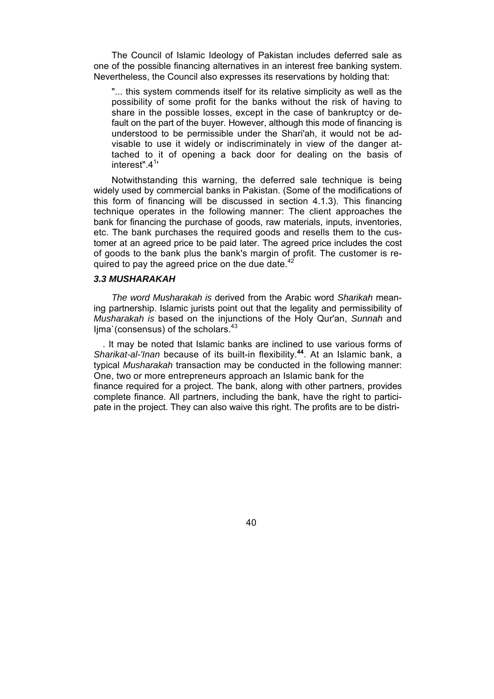The Council of Islamic Ideology of Pakistan includes deferred sale as one of the possible financing alternatives in an interest free banking system. Nevertheless, the Council also expresses its reservations by holding that:

"... this system commends itself for its relative simplicity as well as the possibility of some profit for the banks without the risk of having to share in the possible losses, except in the case of bankruptcy or default on the part of the buyer. However, although this mode of financing is understood to be permissible under the Shari'ah, it would not be advisable to use it widely or indiscriminately in view of the danger attached to it of opening a back door for dealing on the basis of interest".4<sup>1</sup>'

Notwithstanding this warning, the deferred sale technique is being widely used by commercial banks in Pakistan. (Some of the modifications of this form of financing will be discussed in section 4.1.3). This financing technique operates in the following manner: The client approaches the bank for financing the purchase of goods, raw materials, inputs, inventories, etc. The bank purchases the required goods and resells them to the customer at an agreed price to be paid later. The agreed price includes the cost of goods to the bank plus the bank's margin of profit. The customer is required to pay the agreed price on the due date.<sup>42</sup>

# *3.3 MUSHARAKAH*

*The word Musharakah is* derived from the Arabic word *Sharikah* meaning partnership. Islamic jurists point out that the legality and permissibility of *Musharakah is* based on the injunctions of the Holy Qur'an, *Sunnah* and  $Iima'(consensus)$  of the scholars. $43$ 

. It may be noted that Islamic banks are inclined to use various forms of *Sharikat-al-'Inan* because of its built-in flexibility.**<sup>44</sup>**. At an Islamic bank, a typical *Musharakah* transaction may be conducted in the following manner: One, two or more entrepreneurs approach an Islamic bank for the finance required for a project. The bank, along with other partners, provides

complete finance. All partners, including the bank, have the right to participate in the project. They can also waive this right. The profits are to be distri-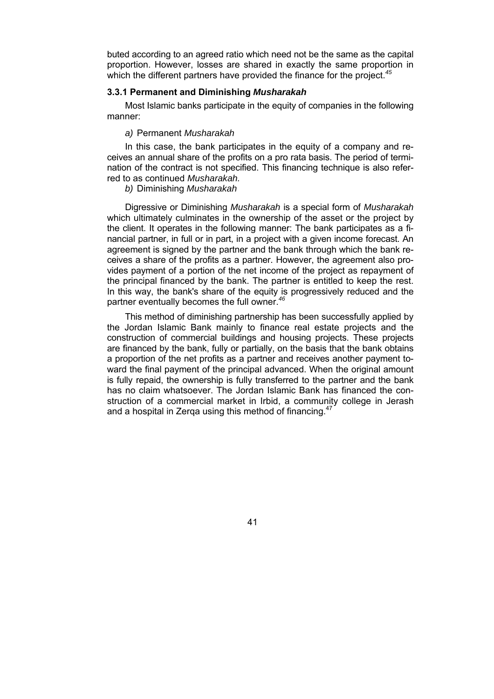buted according to an agreed ratio which need not be the same as the capital proportion. However, losses are shared in exactly the same proportion in which the different partners have provided the finance for the project.*<sup>45</sup>*

## **3.3.1 Permanent and Diminishing** *Musharakah*

Most Islamic banks participate in the equity of companies in the following manner:

### *a)* Permanent *Musharakah*

In this case, the bank participates in the equity of a company and receives an annual share of the profits on a pro rata basis. The period of termination of the contract is not specified. This financing technique is also referred to as continued *Musharakah.* 

*b)* Diminishing *Musharakah* 

Digressive or Diminishing *Musharakah* is a special form of *Musharakah*  which ultimately culminates in the ownership of the asset or the project by the client. It operates in the following manner: The bank participates as a financial partner, in full or in part, in a project with a given income forecast. An agreement is signed by the partner and the bank through which the bank receives a share of the profits as a partner. However, the agreement also provides payment of a portion of the net income of the project as repayment of the principal financed by the bank. The partner is entitled to keep the rest. In this way, the bank's share of the equity is progressively reduced and the partner eventually becomes the full owner.*<sup>46</sup>*

This method of diminishing partnership has been successfully applied by the Jordan Islamic Bank mainly to finance real estate projects and the construction of commercial buildings and housing projects. These projects are financed by the bank, fully or partially, on the basis that the bank obtains a proportion of the net profits as a partner and receives another payment toward the final payment of the principal advanced. When the original amount is fully repaid, the ownership is fully transferred to the partner and the bank has no claim whatsoever. The Jordan Islamic Bank has financed the construction of a commercial market in Irbid, a community college in Jerash and a hospital in Zerqa using this method of financing. $47$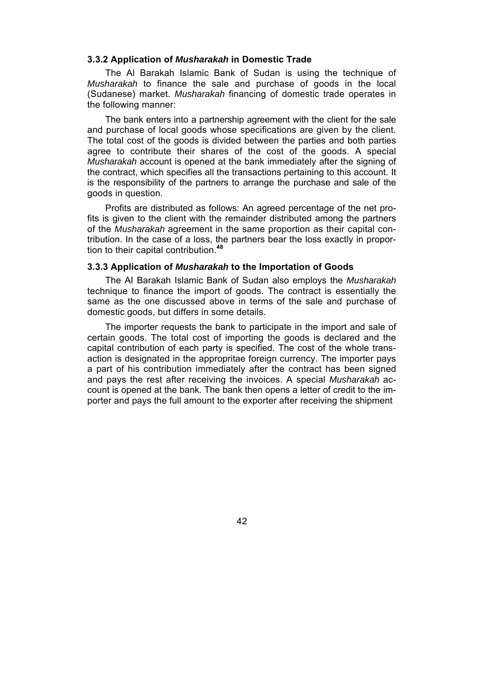#### **3.3.2 Application of** *Musharakah* **in Domestic Trade**

The Al Barakah Islamic Bank of Sudan is using the technique of *Musharakah* to finance the sale and purchase of goods in the local (Sudanese) market. *Musharakah* financing of domestic trade operates in the following manner:

The bank enters into a partnership agreement with the client for the sale and purchase of local goods whose specifications are given by the client. The total cost of the goods is divided between the parties and both parties agree to contribute their shares of the cost of the goods. A special *Musharakah* account is opened at the bank immediately after the signing of the contract, which specifies all the transactions pertaining to this account. It is the responsibility of the partners to arrange the purchase and sale of the goods in question.

Profits are distributed as follows: An agreed percentage of the net profits is given to the client with the remainder distributed among the partners of the *Musharakah* agreement in the same proportion as their capital contribution. In the case of a loss, the partners bear the loss exactly in proportion to their capital contribution.**<sup>48</sup>**

### **3.3.3 Application of** *Musharakah* **to the Importation of Goods**

The AI Barakah Islamic Bank of Sudan also employs the *Musharakah*  technique to finance the import of goods. The contract is essentially the same as the one discussed above in terms of the sale and purchase of domestic goods, but differs in some details.

The importer requests the bank to participate in the import and sale of certain goods. The total cost of importing the goods is declared and the capital contribution of each party is specified. The cost of the whole transaction is designated in the appropritae foreign currency. The importer pays a part of his contribution immediately after the contract has been signed and pays the rest after receiving the invoices. A special *Musharakah* account is opened at the bank. The bank then opens a letter of credit to the importer and pays the full amount to the exporter after receiving the shipment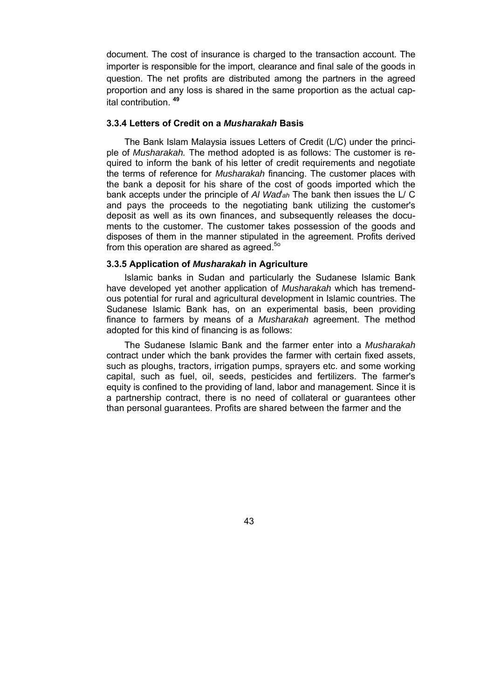document. The cost of insurance is charged to the transaction account. The importer is responsible for the import, clearance and final sale of the goods in question. The net profits are distributed among the partners in the agreed proportion and any loss is shared in the same proportion as the actual capital contribution. **<sup>49</sup>**

### **3.3.4 Letters of Credit on a** *Musharakah* **Basis**

The Bank Islam Malaysia issues Letters of Credit (L/C) under the principle of *Musharakah.* The method adopted is as follows: The customer is required to inform the bank of his letter of credit requirements and negotiate the terms of reference for *Musharakah* financing. The customer places with the bank a deposit for his share of the cost of goods imported which the bank accepts under the principle of *AI Wad ah* The bank then issues the L/C and pays the proceeds to the negotiating bank utilizing the customer's deposit as well as its own finances, and subsequently releases the documents to the customer. The customer takes possession of the goods and disposes of them in the manner stipulated in the agreement. Profits derived from this operation are shared as agreed. $50$ 

#### **3.3.5 Application of** *Musharakah* **in Agriculture**

Islamic banks in Sudan and particularly the Sudanese Islamic Bank have developed yet another application of *Musharakah* which has tremendous potential for rural and agricultural development in Islamic countries. The Sudanese Islamic Bank has, on an experimental basis, been providing finance to farmers by means of a *Musharakah* agreement. The method adopted for this kind of financing is as follows:

The Sudanese Islamic Bank and the farmer enter into a *Musharakah*  contract under which the bank provides the farmer with certain fixed assets, such as ploughs, tractors, irrigation pumps, sprayers etc. and some working capital, such as fuel, oil, seeds, pesticides and fertilizers. The farmer's equity is confined to the providing of land, labor and management. Since it is a partnership contract, there is no need of collateral or guarantees other than personal guarantees. Profits are shared between the farmer and the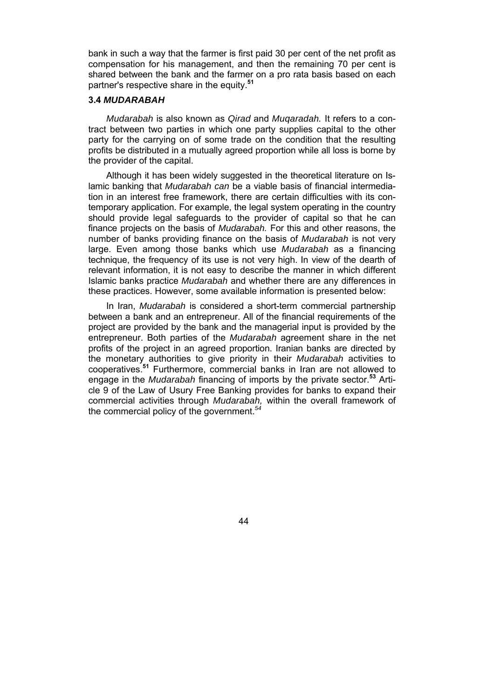bank in such a way that the farmer is first paid 30 per cent of the net profit as compensation for his management, and then the remaining 70 per cent is shared between the bank and the farmer on a pro rata basis based on each partner's respective share in the equity.**<sup>51</sup>**

#### **3.4** *MUDARABAH*

*Mudarabah* is also known as *Qirad* and *Muqaradah.* It refers to a contract between two parties in which one party supplies capital to the other party for the carrying on of some trade on the condition that the resulting profits be distributed in a mutually agreed proportion while all loss is borne by the provider of the capital.

Although it has been widely suggested in the theoretical literature on Islamic banking that *Mudarabah can* be a viable basis of financial intermediation in an interest free framework, there are certain difficulties with its contemporary application. For example, the legal system operating in the country should provide legal safeguards to the provider of capital so that he can finance projects on the basis of *Mudarabah.* For this and other reasons, the number of banks providing finance on the basis of *Mudarabah* is not very large. Even among those banks which use *Mudarabah* as a financing technique, the frequency of its use is not very high. In view of the dearth of relevant information, it is not easy to describe the manner in which different Islamic banks practice *Mudarabah* and whether there are any differences in these practices. However, some available information is presented below:

In Iran, *Mudarabah* is considered a short-term commercial partnership between a bank and an entrepreneur. All of the financial requirements of the project are provided by the bank and the managerial input is provided by the entrepreneur. Both parties of the *Mudarabah* agreement share in the net profits of the project in an agreed proportion. Iranian banks are directed by the monetary authorities to give priority in their *Mudarabah* activities to cooperatives.**<sup>51</sup>** Furthermore, commercial banks in Iran are not allowed to engage in the *Mudarabah* financing of imports by the private sector.**<sup>53</sup>** Article 9 of the Law of Usury Free Banking provides for banks to expand their commercial activities through *Mudarabah,* within the overall framework of the commercial policy of the government.*<sup>54</sup>*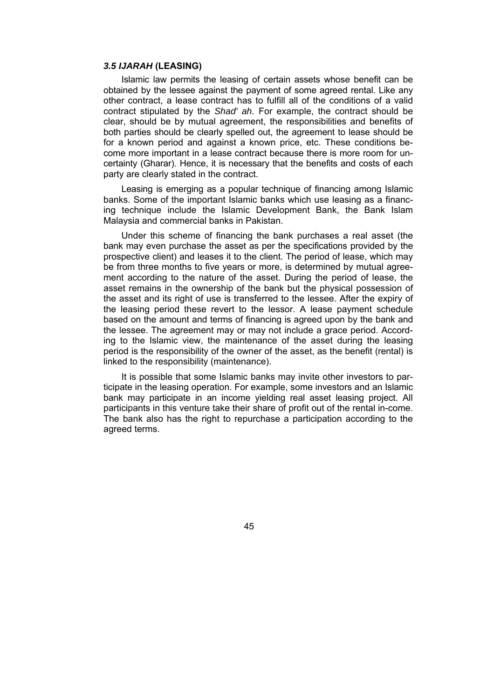#### *3.5 IJARAH* **(LEASING)**

Islamic law permits the leasing of certain assets whose benefit can be obtained by the lessee against the payment of some agreed rental. Like any other contract, a lease contract has to fulfill all of the conditions of a valid contract stipulated by the *Shad' ah.* For example, the contract should be clear, should be by mutual agreement, the responsibilities and benefits of both parties should be clearly spelled out, the agreement to lease should be for a known period and against a known price, etc. These conditions become more important in a lease contract because there is more room for uncertainty (Gharar). Hence, it is necessary that the benefits and costs of each party are clearly stated in the contract.

Leasing is emerging as a popular technique of financing among Islamic banks. Some of the important Islamic banks which use leasing as a financing technique include the Islamic Development Bank, the Bank Islam Malaysia and commercial banks in Pakistan.

Under this scheme of financing the bank purchases a real asset (the bank may even purchase the asset as per the specifications provided by the prospective client) and leases it to the client. The period of lease, which may be from three months to five years or more, is determined by mutual agreement according to the nature of the asset. During the period of lease, the asset remains in the ownership of the bank but the physical possession of the asset and its right of use is transferred to the lessee. After the expiry of the leasing period these revert to the lessor. A lease payment schedule based on the amount and terms of financing is agreed upon by the bank and the lessee. The agreement may or may not include a grace period. According to the Islamic view, the maintenance of the asset during the leasing period is the responsibility of the owner of the asset, as the benefit (rental) is linked to the responsibility (maintenance).

It is possible that some Islamic banks may invite other investors to participate in the leasing operation. For example, some investors and an Islamic bank may participate in an income yielding real asset leasing project. All participants in this venture take their share of profit out of the rental in-come. The bank also has the right to repurchase a participation according to the agreed terms.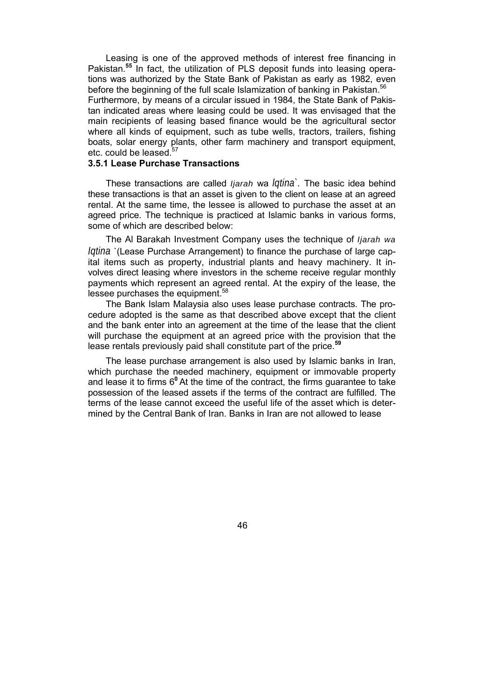Leasing is one of the approved methods of interest free financing in Pakistan.**<sup>55</sup>** In fact, the utilization of PLS deposit funds into leasing operations was authorized by the State Bank of Pakistan as early as 1982, even before the beginning of the full scale Islamization of banking in Pakistan.<sup>56</sup> Furthermore, by means of a circular issued in 1984, the State Bank of Pakistan indicated areas where leasing could be used. It was envisaged that the main recipients of leasing based finance would be the agricultural sector where all kinds of equipment, such as tube wells, tractors, trailers, fishing boats, solar energy plants, other farm machinery and transport equipment, etc. could be leased.<sup>57</sup>

#### **3.5.1 Lease Purchase Transactions**

These transactions are called *Ijarah* wa *lqtina`.* The basic idea behind these transactions is that an asset is given to the client on lease at an agreed rental. At the same time, the lessee is allowed to purchase the asset at an agreed price. The technique is practiced at Islamic banks in various forms, some of which are described below:

The Al Barakah Investment Company uses the technique of *Ijarah wa Igtina* **Clease Purchase Arrangement**) to finance the purchase of large capital items such as property, industrial plants and heavy machinery. It involves direct leasing where investors in the scheme receive regular monthly payments which represent an agreed rental. At the expiry of the lease, the  $l$  essee purchases the equipment.<sup>58</sup>

The Bank Islam Malaysia also uses lease purchase contracts. The procedure adopted is the same as that described above except that the client and the bank enter into an agreement at the time of the lease that the client will purchase the equipment at an agreed price with the provision that the lease rentals previously paid shall constitute part of the price.**<sup>59</sup>**

The lease purchase arrangement is also used by Islamic banks in Iran, which purchase the needed machinery, equipment or immovable property and lease it to firms 6**<sup>0</sup>**At the time of the contract, the firms guarantee to take possession of the leased assets if the terms of the contract are fulfilled. The terms of the lease cannot exceed the useful life of the asset which is determined by the Central Bank of Iran. Banks in Iran are not allowed to lease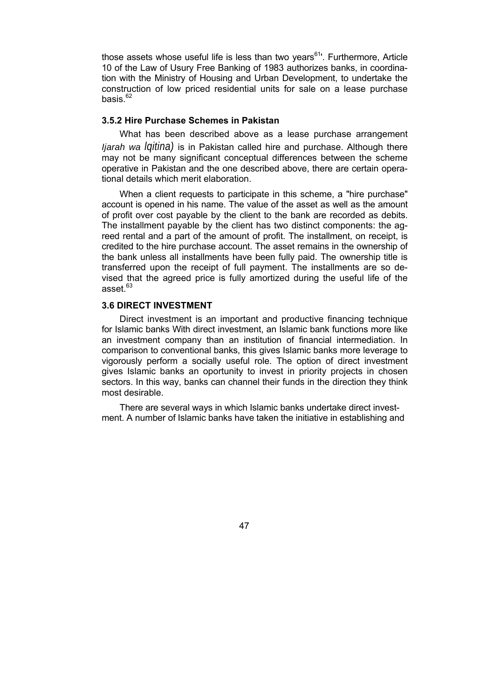those assets whose useful life is less than two years $61$ . Furthermore, Article 10 of the Law of Usury Free Banking of 1983 authorizes banks, in coordination with the Ministry of Housing and Urban Development, to undertake the construction of low priced residential units for sale on a lease purchase basis. $62$ 

## **3.5.2 Hire Purchase Schemes in Pakistan**

What has been described above as a lease purchase arrangement *Ijarah wa lqitina)* is in Pakistan called hire and purchase. Although there may not be many significant conceptual differences between the scheme operative in Pakistan and the one described above, there are certain operational details which merit elaboration.

When a client requests to participate in this scheme, a "hire purchase" account is opened in his name. The value of the asset as well as the amount of profit over cost payable by the client to the bank are recorded as debits. The installment payable by the client has two distinct components: the agreed rental and a part of the amount of profit. The installment, on receipt, is credited to the hire purchase account. The asset remains in the ownership of the bank unless all installments have been fully paid. The ownership title is transferred upon the receipt of full payment. The installments are so devised that the agreed price is fully amortized during the useful life of the asset. $63$ 

## **3.6 DIRECT INVESTMENT**

Direct investment is an important and productive financing technique for Islamic banks With direct investment, an Islamic bank functions more like an investment company than an institution of financial intermediation. In comparison to conventional banks, this gives Islamic banks more leverage to vigorously perform a socially useful role. The option of direct investment gives Islamic banks an oportunity to invest in priority projects in chosen sectors. In this way, banks can channel their funds in the direction they think most desirable.

There are several ways in which Islamic banks undertake direct investment. A number of Islamic banks have taken the initiative in establishing and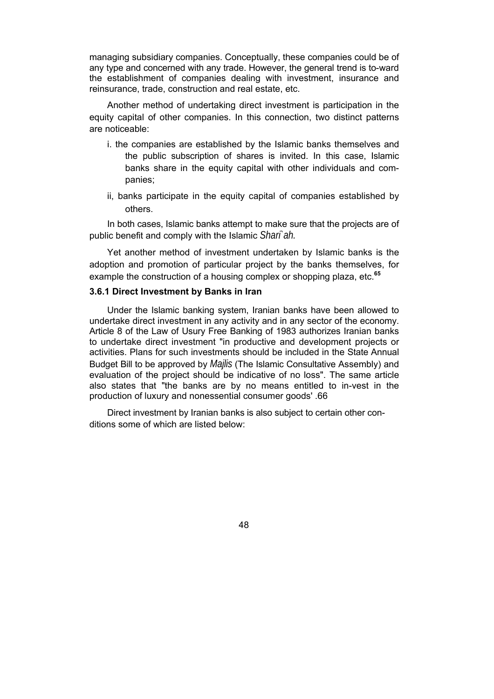managing subsidiary companies. Conceptually, these companies could be of any type and concerned with any trade. However, the general trend is to-ward the establishment of companies dealing with investment, insurance and reinsurance, trade, construction and real estate, etc.

Another method of undertaking direct investment is participation in the equity capital of other companies. In this connection, two distinct patterns are noticeable:

- i. the companies are established by the Islamic banks themselves and the public subscription of shares is invited. In this case, Islamic banks share in the equity capital with other individuals and companies;
- ii, banks participate in the equity capital of companies established by others.

In both cases, Islamic banks attempt to make sure that the projects are of public benefit and comply with the Islamic *Shari`ah.* 

Yet another method of investment undertaken by Islamic banks is the adoption and promotion of particular project by the banks themselves, for example the construction of a housing complex or shopping plaza, etc.**<sup>65</sup>**

## **3.6.1 Direct Investment by Banks in Iran**

Under the Islamic banking system, Iranian banks have been allowed to undertake direct investment in any activity and in any sector of the economy. Article 8 of the Law of Usury Free Banking of 1983 authorizes Iranian banks to undertake direct investment "in productive and development projects or activities. Plans for such investments should be included in the State Annual Budget Bill to be approved by *Majlis* (The Islamic Consultative Assembly) and evaluation of the project should be indicative of no loss". The same article also states that "the banks are by no means entitled to in-vest in the production of luxury and nonessential consumer goods' .66

Direct investment by Iranian banks is also subject to certain other conditions some of which are listed below: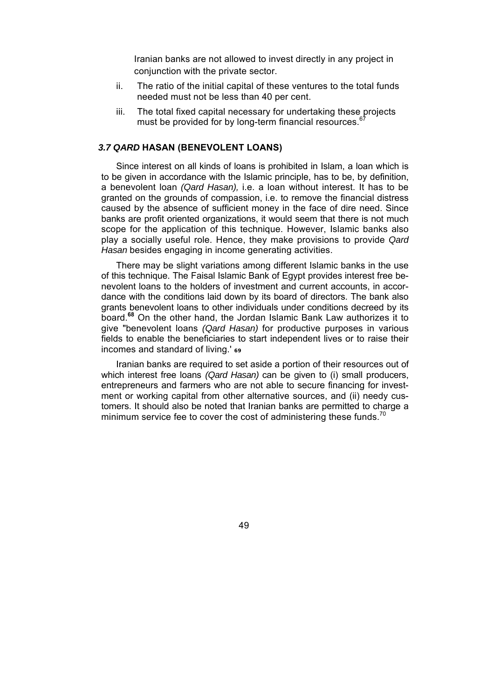Iranian banks are not allowed to invest directly in any project in conjunction with the private sector.

- ii. The ratio of the initial capital of these ventures to the total funds needed must not be less than 40 per cent.
- iii. The total fixed capital necessary for undertaking these projects must be provided for by long-term financial resources.<sup>67</sup>

## *3.7 QARD* **HASAN (BENEVOLENT LOANS)**

Since interest on all kinds of loans is prohibited in Islam, a loan which is to be given in accordance with the Islamic principle, has to be, by definition, a benevolent loan *(Qard Hasan),* i.e. a loan without interest. It has to be granted on the grounds of compassion, i.e. to remove the financial distress caused by the absence of sufficient money in the face of dire need. Since banks are profit oriented organizations, it would seem that there is not much scope for the application of this technique. However, Islamic banks also play a socially useful role. Hence, they make provisions to provide *Qard Hasan* besides engaging in income generating activities.

There may be slight variations among different Islamic banks in the use of this technique. The Faisal Islamic Bank of Egypt provides interest free benevolent loans to the holders of investment and current accounts, in accordance with the conditions laid down by its board of directors. The bank also grants benevolent loans to other individuals under conditions decreed by its board.**<sup>68</sup>** On the other hand, the Jordan Islamic Bank Law authorizes it to give "benevolent loans *(Qard Hasan)* for productive purposes in various fields to enable the beneficiaries to start independent lives or to raise their incomes and standard of living.' **<sup>69</sup>**

Iranian banks are required to set aside a portion of their resources out of which interest free loans *(Qard Hasan)* can be given to (i) small producers, entrepreneurs and farmers who are not able to secure financing for investment or working capital from other alternative sources, and (ii) needy customers. It should also be noted that Iranian banks are permitted to charge a minimum service fee to cover the cost of administering these funds.<sup>70</sup>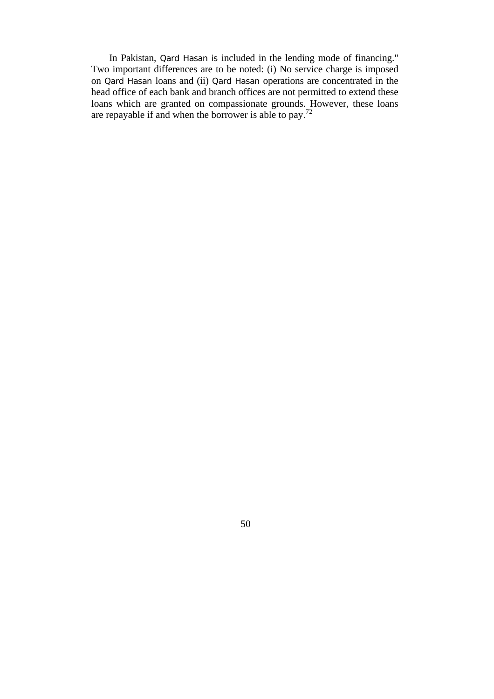In Pakistan, *Qard Hasan is* included in the lending mode of financing." Two important differences are to be noted: (i) No service charge is imposed on *Qard Hasan* loans and (ii) *Qard Hasan* operations are concentrated in the head office of each bank and branch offices are not permitted to extend these loans which are granted on compassionate grounds. However, these loans are repayable if and when the borrower is able to pay.<sup>72</sup>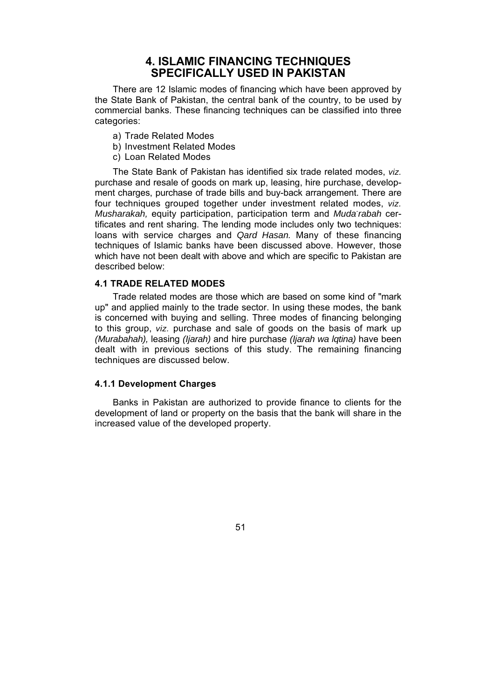# **4. ISLAMIC FINANCING TECHNIQUES SPECIFICALLY USED IN PAKISTAN**

There are 12 Islamic modes of financing which have been approved by the State Bank of Pakistan, the central bank of the country, to be used by commercial banks. These financing techniques can be classified into three categories:

- a) Trade Related Modes
- b) Investment Related Modes
- c) Loan Related Modes

The State Bank of Pakistan has identified six trade related modes, *viz.*  purchase and resale of goods on mark up, leasing, hire purchase, development charges, purchase of trade bills and buy-back arrangement. There are four techniques grouped together under investment related modes, *viz. Musharakah,* equity participation, participation term and *Muda-rabah* certificates and rent sharing. The lending mode includes only two techniques: loans with service charges and *Qard Hasan.* Many of these financing techniques of Islamic banks have been discussed above. However, those which have not been dealt with above and which are specific to Pakistan are described below:

## **4.1 TRADE RELATED MODES**

Trade related modes are those which are based on some kind of "mark up" and applied mainly to the trade sector. In using these modes, the bank is concerned with buying and selling. Three modes of financing belonging to this group, *viz.* purchase and sale of goods on the basis of mark up *(Murabahah),* leasing *(Ijarah)* and hire purchase *(Ijarah wa lqtina)* have been dealt with in previous sections of this study. The remaining financing techniques are discussed below.

#### **4.1.1 Development Charges**

Banks in Pakistan are authorized to provide finance to clients for the development of land or property on the basis that the bank will share in the increased value of the developed property.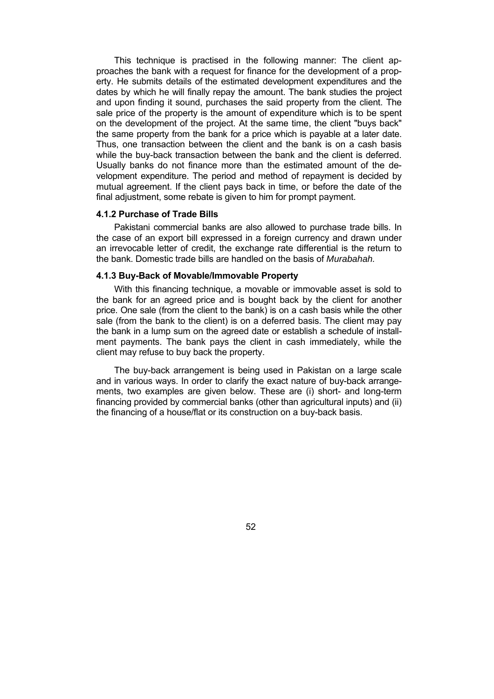This technique is practised in the following manner: The client approaches the bank with a request for finance for the development of a property. He submits details of the estimated development expenditures and the dates by which he will finally repay the amount. The bank studies the project and upon finding it sound, purchases the said property from the client. The sale price of the property is the amount of expenditure which is to be spent on the development of the project. At the same time, the client "buys back" the same property from the bank for a price which is payable at a later date. Thus, one transaction between the client and the bank is on a cash basis while the buy-back transaction between the bank and the client is deferred. Usually banks do not finance more than the estimated amount of the development expenditure. The period and method of repayment is decided by mutual agreement. If the client pays back in time, or before the date of the final adjustment, some rebate is given to him for prompt payment.

#### **4.1.2 Purchase of Trade Bills**

Pakistani commercial banks are also allowed to purchase trade bills. In the case of an export bill expressed in a foreign currency and drawn under an irrevocable letter of credit, the exchange rate differential is the return to the bank. Domestic trade bills are handled on the basis of *Murabahah.* 

#### **4.1.3 Buy-Back of Movable/Immovable Property**

With this financing technique, a movable or immovable asset is sold to the bank for an agreed price and is bought back by the client for another price. One sale (from the client to the bank) is on a cash basis while the other sale (from the bank to the client) is on a deferred basis. The client may pay the bank in a lump sum on the agreed date or establish a schedule of installment payments. The bank pays the client in cash immediately, while the client may refuse to buy back the property.

The buy-back arrangement is being used in Pakistan on a large scale and in various ways. In order to clarify the exact nature of buy-back arrangements, two examples are given below. These are (i) short- and long-term financing provided by commercial banks (other than agricultural inputs) and (ii) the financing of a house/flat or its construction on a buy-back basis.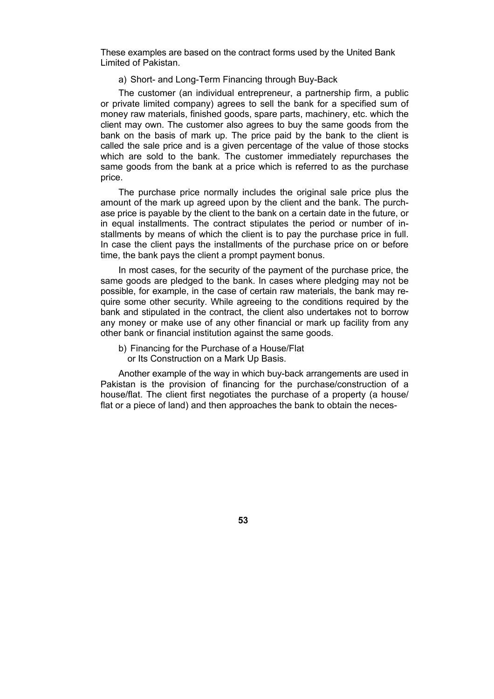These examples are based on the contract forms used by the United Bank Limited of Pakistan.

## a) Short- and Long-Term Financing through Buy-Back

The customer (an individual entrepreneur, a partnership firm, a public or private limited company) agrees to sell the bank for a specified sum of money raw materials, finished goods, spare parts, machinery, etc. which the client may own. The customer also agrees to buy the same goods from the bank on the basis of mark up. The price paid by the bank to the client is called the sale price and is a given percentage of the value of those stocks which are sold to the bank. The customer immediately repurchases the same goods from the bank at a price which is referred to as the purchase price.

The purchase price normally includes the original sale price plus the amount of the mark up agreed upon by the client and the bank. The purchase price is payable by the client to the bank on a certain date in the future, or in equal installments. The contract stipulates the period or number of installments by means of which the client is to pay the purchase price in full. In case the client pays the installments of the purchase price on or before time, the bank pays the client a prompt payment bonus.

In most cases, for the security of the payment of the purchase price, the same goods are pledged to the bank. In cases where pledging may not be possible, for example, in the case of certain raw materials, the bank may require some other security. While agreeing to the conditions required by the bank and stipulated in the contract, the client also undertakes not to borrow any money or make use of any other financial or mark up facility from any other bank or financial institution against the same goods.

b) Financing for the Purchase of a House/Flat or Its Construction on a Mark Up Basis.

Another example of the way in which buy-back arrangements are used in Pakistan is the provision of financing for the purchase/construction of a house/flat. The client first negotiates the purchase of a property (a house/ flat or a piece of land) and then approaches the bank to obtain the neces-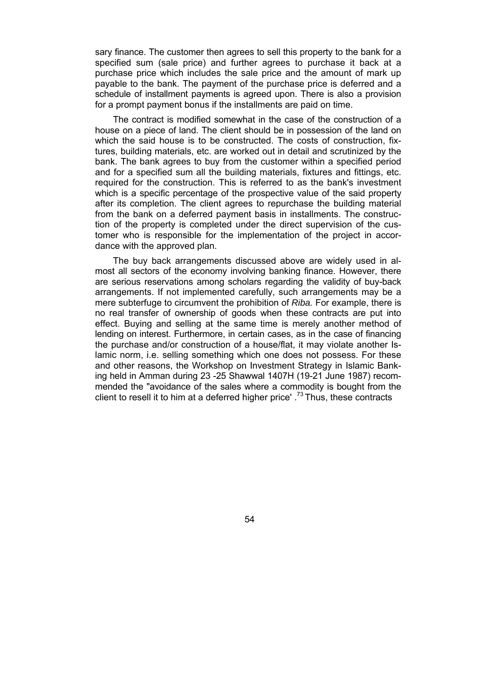sary finance. The customer then agrees to sell this property to the bank for a specified sum (sale price) and further agrees to purchase it back at a purchase price which includes the sale price and the amount of mark up payable to the bank. The payment of the purchase price is deferred and a schedule of installment payments is agreed upon. There is also a provision for a prompt payment bonus if the installments are paid on time.

The contract is modified somewhat in the case of the construction of a house on a piece of land. The client should be in possession of the land on which the said house is to be constructed. The costs of construction, fixtures, building materials, etc. are worked out in detail and scrutinized by the bank. The bank agrees to buy from the customer within a specified period and for a specified sum all the building materials, fixtures and fittings, etc. required for the construction. This is referred to as the bank's investment which is a specific percentage of the prospective value of the said property after its completion. The client agrees to repurchase the building material from the bank on a deferred payment basis in installments. The construction of the property is completed under the direct supervision of the customer who is responsible for the implementation of the project in accordance with the approved plan.

The buy back arrangements discussed above are widely used in almost all sectors of the economy involving banking finance. However, there are serious reservations among scholars regarding the validity of buy-back arrangements. If not implemented carefully, such arrangements may be a mere subterfuge to circumvent the prohibition of *Riba.* For example, there is no real transfer of ownership of goods when these contracts are put into effect. Buying and selling at the same time is merely another method of lending on interest. Furthermore, in certain cases, as in the case of financing the purchase and/or construction of a house/flat, it may violate another Islamic norm, i.e. selling something which one does not possess. For these and other reasons, the Workshop on Investment Strategy in Islamic Banking held in Amman during 23 -25 Shawwal 1407H (19-21 June 1987) recommended the "avoidance of the sales where a commodity is bought from the client to resell it to him at a deferred higher price'.<sup>73</sup> Thus, these contracts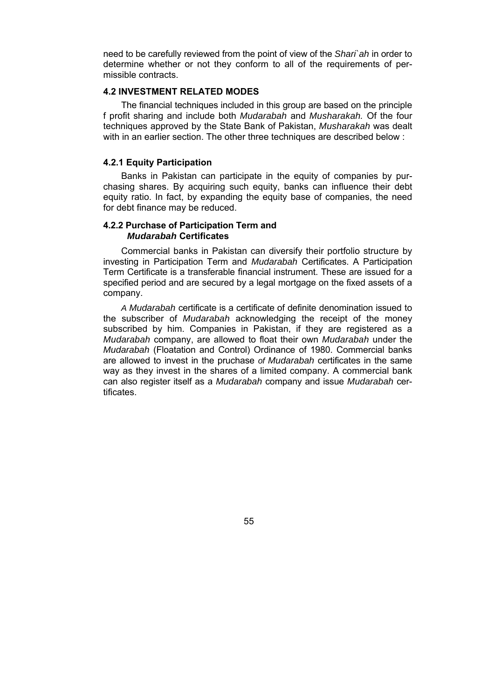need to be carefully reviewed from the point of view of the *Shari`ah* in order to determine whether or not they conform to all of the requirements of permissible contracts.

#### **4.2 INVESTMENT RELATED MODES**

The financial techniques included in this group are based on the principle f profit sharing and include both *Mudarabah* and *Musharakah.* Of the four techniques approved by the State Bank of Pakistan, *Musharakah* was dealt with in an earlier section. The other three techniques are described below :

## **4.2.1 Equity Participation**

Banks in Pakistan can participate in the equity of companies by purchasing shares. By acquiring such equity, banks can influence their debt equity ratio. In fact, by expanding the equity base of companies, the need for debt finance may be reduced.

## **4.2.2 Purchase of Participation Term and**  *Mudarabah* **Certificates**

Commercial banks in Pakistan can diversify their portfolio structure by investing in Participation Term and *Mudarabah* Certificates. A Participation Term Certificate is a transferable financial instrument. These are issued for a specified period and are secured by a legal mortgage on the fixed assets of a company.

*A Mudarabah* certificate is a certificate of definite denomination issued to the subscriber of *Mudarabah* acknowledging the receipt of the money subscribed by him. Companies in Pakistan, if they are registered as a *Mudarabah* company, are allowed to float their own *Mudarabah* under the *Mudarabah* (Floatation and Control) Ordinance of 1980. Commercial banks are allowed to invest in the pruchase *of Mudarabah* certificates in the same way as they invest in the shares of a limited company. A commercial bank can also register itself as a *Mudarabah* company and issue *Mudarabah* certificates.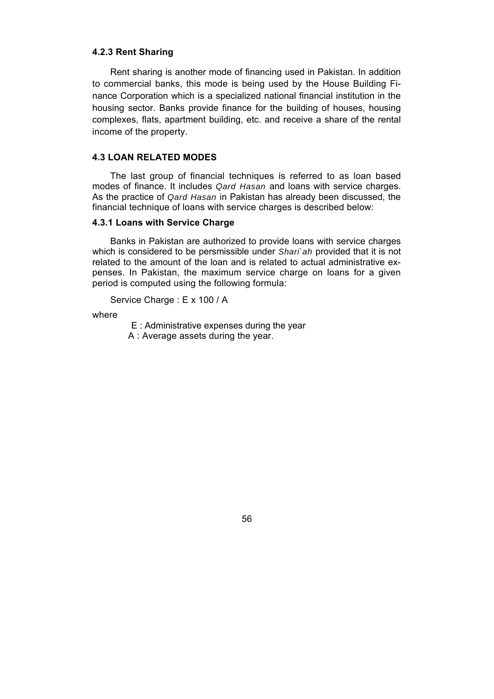## **4.2.3 Rent Sharing**

Rent sharing is another mode of financing used in Pakistan. In addition to commercial banks, this mode is being used by the House Building Finance Corporation which is a specialized national financial institution in the housing sector. Banks provide finance for the building of houses, housing complexes, flats, apartment building, etc. and receive a share of the rental income of the property.

#### **4.3 LOAN RELATED MODES**

The last group of financial techniques is referred to as loan based modes of finance. It includes *Qard Hasan* and loans with service charges. As the practice of *Qard Hasan* in Pakistan has already been discussed, the financial technique of loans with service charges is described below:

#### **4.3.1 Loans with Service Charge**

Banks in Pakistan are authorized to provide loans with service charges which is considered to be persmissible under *Shari`ah* provided that it is not related to the amount of the loan and is related to actual administrative expenses. In Pakistan, the maximum service charge on loans for a given period is computed using the following formula:

Service Charge : E x 100 / A

where

E : Administrative expenses during the year

A : Average assets during the year.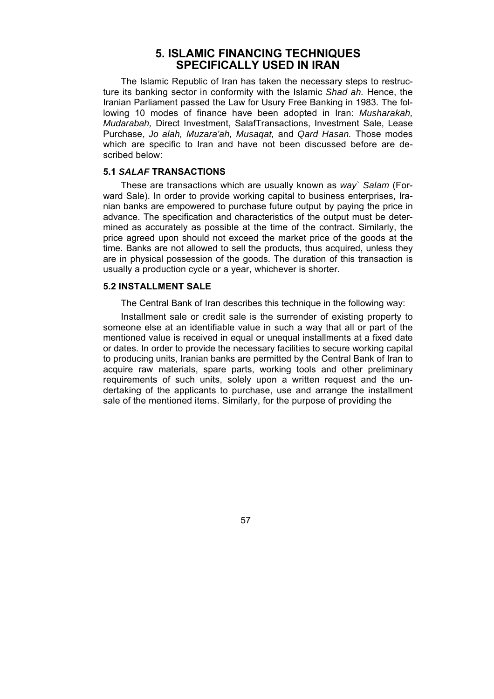# **5. ISLAMIC FINANCING TECHNIQUES SPECIFICALLY USED IN IRAN**

The Islamic Republic of Iran has taken the necessary steps to restructure its banking sector in conformity with the Islamic *Shad ah.* Hence, the Iranian Parliament passed the Law for Usury Free Banking in 1983. The following 10 modes of finance have been adopted in Iran: *Musharakah, Mudarabah,* Direct Investment, SalafTransactions, Investment Sale, Lease Purchase, *Jo alah, Muzara'ah, Musaqat,* and *Qard Hasan.* Those modes which are specific to Iran and have not been discussed before are described below:

### **5.1** *SALAF* **TRANSACTIONS**

These are transactions which are usually known as *way` Salam* (Forward Sale). In order to provide working capital to business enterprises, Iranian banks are empowered to purchase future output by paying the price in advance. The specification and characteristics of the output must be determined as accurately as possible at the time of the contract. Similarly, the price agreed upon should not exceed the market price of the goods at the time. Banks are not allowed to sell the products, thus acquired, unless they are in physical possession of the goods. The duration of this transaction is usually a production cycle or a year, whichever is shorter.

## **5.2 INSTALLMENT SALE**

The Central Bank of Iran describes this technique in the following way:

Installment sale or credit sale is the surrender of existing property to someone else at an identifiable value in such a way that all or part of the mentioned value is received in equal or unequal installments at a fixed date or dates. In order to provide the necessary facilities to secure working capital to producing units, Iranian banks are permitted by the Central Bank of Iran to acquire raw materials, spare parts, working tools and other preliminary requirements of such units, solely upon a written request and the undertaking of the applicants to purchase, use and arrange the installment sale of the mentioned items. Similarly, for the purpose of providing the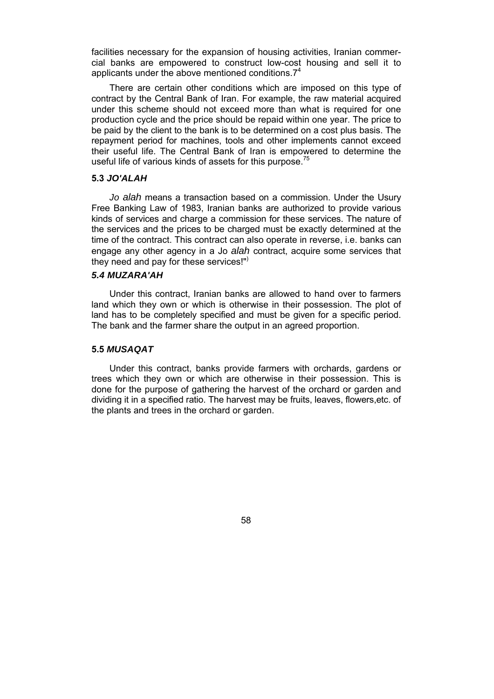facilities necessary for the expansion of housing activities, Iranian commercial banks are empowered to construct low-cost housing and sell it to applicants under the above mentioned conditions.7<sup>4</sup>

There are certain other conditions which are imposed on this type of contract by the Central Bank of Iran. For example, the raw material acquired under this scheme should not exceed more than what is required for one production cycle and the price should be repaid within one year. The price to be paid by the client to the bank is to be determined on a cost plus basis. The repayment period for machines, tools and other implements cannot exceed their useful life. The Central Bank of Iran is empowered to determine the useful life of various kinds of assets for this purpose.<sup>75</sup>

## **5.3** *JO'ALAH*

*Jo alah* means a transaction based on a commission. Under the Usury Free Banking Law of 1983, Iranian banks are authorized to provide various kinds of services and charge a commission for these services. The nature of the services and the prices to be charged must be exactly determined at the time of the contract. This contract can also operate in reverse, i.e. banks can engage any other agency in a Jo *alah* contract, acquire some services that they need and pay for these services!")

## *5.4 MUZARA'AH*

Under this contract, Iranian banks are allowed to hand over to farmers land which they own or which is otherwise in their possession. The plot of land has to be completely specified and must be given for a specific period. The bank and the farmer share the output in an agreed proportion.

#### **5.5** *MUSAQAT*

Under this contract, banks provide farmers with orchards, gardens or trees which they own or which are otherwise in their possession. This is done for the purpose of gathering the harvest of the orchard or garden and dividing it in a specified ratio. The harvest may be fruits, leaves, flowers,etc. of the plants and trees in the orchard or garden.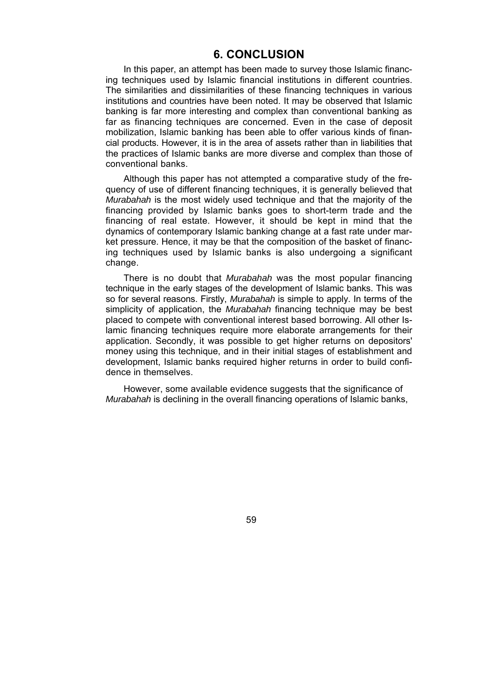# **6. CONCLUSION**

In this paper, an attempt has been made to survey those Islamic financing techniques used by Islamic financial institutions in different countries. The similarities and dissimilarities of these financing techniques in various institutions and countries have been noted. It may be observed that Islamic banking is far more interesting and complex than conventional banking as far as financing techniques are concerned. Even in the case of deposit mobilization, Islamic banking has been able to offer various kinds of financial products. However, it is in the area of assets rather than in liabilities that the practices of Islamic banks are more diverse and complex than those of conventional banks.

Although this paper has not attempted a comparative study of the frequency of use of different financing techniques, it is generally believed that *Murabahah* is the most widely used technique and that the majority of the financing provided by Islamic banks goes to short-term trade and the financing of real estate. However, it should be kept in mind that the dynamics of contemporary Islamic banking change at a fast rate under market pressure. Hence, it may be that the composition of the basket of financing techniques used by Islamic banks is also undergoing a significant change.

There is no doubt that *Murabahah* was the most popular financing technique in the early stages of the development of Islamic banks. This was so for several reasons. Firstly, *Murabahah* is simple to apply. In terms of the simplicity of application, the *Murabahah* financing technique may be best placed to compete with conventional interest based borrowing. All other Islamic financing techniques require more elaborate arrangements for their application. Secondly, it was possible to get higher returns on depositors' money using this technique, and in their initial stages of establishment and development, Islamic banks required higher returns in order to build confidence in themselves.

However, some available evidence suggests that the significance of *Murabahah* is declining in the overall financing operations of Islamic banks,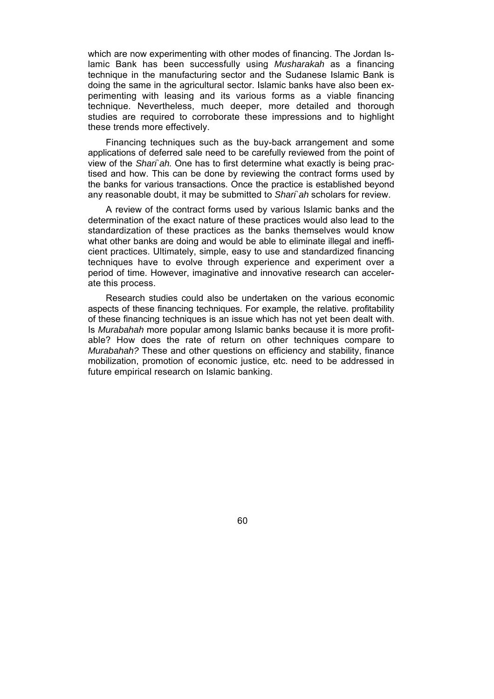which are now experimenting with other modes of financing. The Jordan Islamic Bank has been successfully using *Musharakah* as a financing technique in the manufacturing sector and the Sudanese Islamic Bank is doing the same in the agricultural sector. Islamic banks have also been experimenting with leasing and its various forms as a viable financing technique. Nevertheless, much deeper, more detailed and thorough studies are required to corroborate these impressions and to highlight these trends more effectively.

Financing techniques such as the buy-back arrangement and some applications of deferred sale need to be carefully reviewed from the point of view of the *Shari`ah.* One has to first determine what exactly is being practised and how. This can be done by reviewing the contract forms used by the banks for various transactions. Once the practice is established beyond any reasonable doubt, it may be submitted to *Shari`ah* scholars for review.

A review of the contract forms used by various Islamic banks and the determination of the exact nature of these practices would also lead to the standardization of these practices as the banks themselves would know what other banks are doing and would be able to eliminate illegal and inefficient practices. Ultimately, simple, easy to use and standardized financing techniques have to evolve through experience and experiment over a period of time. However, imaginative and innovative research can accelerate this process.

Research studies could also be undertaken on the various economic aspects of these financing techniques. For example, the relative. profitability of these financing techniques is an issue which has not yet been dealt with. Is *Murabahah* more popular among Islamic banks because it is more profitable? How does the rate of return on other techniques compare to *Murabahah?* These and other questions on efficiency and stability, finance mobilization, promotion of economic justice, etc. need to be addressed in future empirical research on Islamic banking.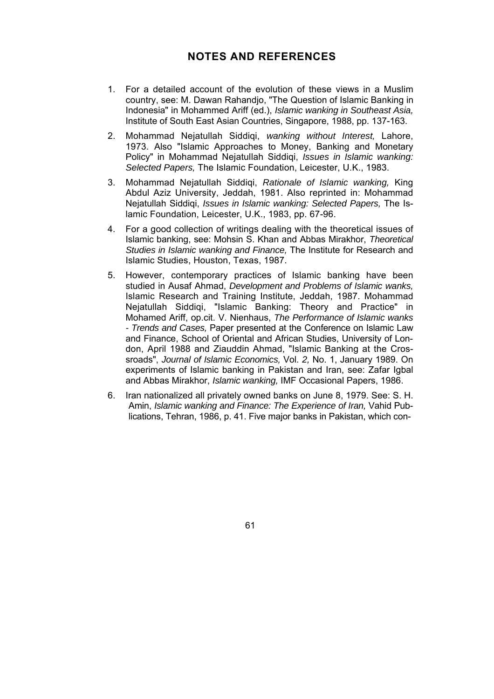# **NOTES AND REFERENCES**

- 1. For a detailed account of the evolution of these views in a Muslim country, see: M. Dawan Rahandjo, "The Question of Islamic Banking in Indonesia" in Mohammed Ariff (ed.), *Islamic wanking in Southeast Asia,*  Institute of South East Asian Countries, Singapore, 1988, pp. 137-163.
- 2. Mohammad Nejatullah Siddiqi, *wanking without Interest,* Lahore, 1973. Also "Islamic Approaches to Money, Banking and Monetary Policy" in Mohammad Nejatullah Siddiqi, *Issues in Islamic wanking: Selected Papers,* The Islamic Foundation, Leicester, U.K., 1983.
- 3. Mohammad Nejatullah Siddiqi, *Rationale of Islamic wanking,* King Abdul Aziz University, Jeddah, 1981. Also reprinted in: Mohammad Nejatullah Siddiqi, *Issues in Islamic wanking: Selected Papers,* The Islamic Foundation, Leicester, U.K., 1983, pp. 67-96.
- 4. For a good collection of writings dealing with the theoretical issues of Islamic banking, see: Mohsin S. Khan and Abbas Mirakhor, *Theoretical Studies in Islamic wanking and Finance,* The Institute for Research and Islamic Studies, Houston, Texas, 1987.
- 5. However, contemporary practices of Islamic banking have been studied in Ausaf Ahmad, *Development and Problems of Islamic wanks,*  Islamic Research and Training Institute, Jeddah, 1987. Mohammad Nejatullah Siddiqi, "Islamic Banking: Theory and Practice" in Mohamed Ariff, op.cit. V. Nienhaus, *The Performance of Islamic wanks - Trends and Cases,* Paper presented at the Conference on Islamic Law and Finance, School of Oriental and African Studies, University of London, April 1988 and Ziauddin Ahmad, "Islamic Banking at the Crossroads", *Journal of Islamic Economics,* Vol. *2,* No. 1, January 1989. On experiments of Islamic banking in Pakistan and Iran, see: Zafar Igbal and Abbas Mirakhor, *Islamic wanking,* IMF Occasional Papers, 1986.
- 6. Iran nationalized all privately owned banks on June 8, 1979. See: S. H. Amin, *Islamic wanking and Finance: The Experience of Iran,* Vahid Publications, Tehran, 1986, p. 41. Five major banks in Pakistan, which con-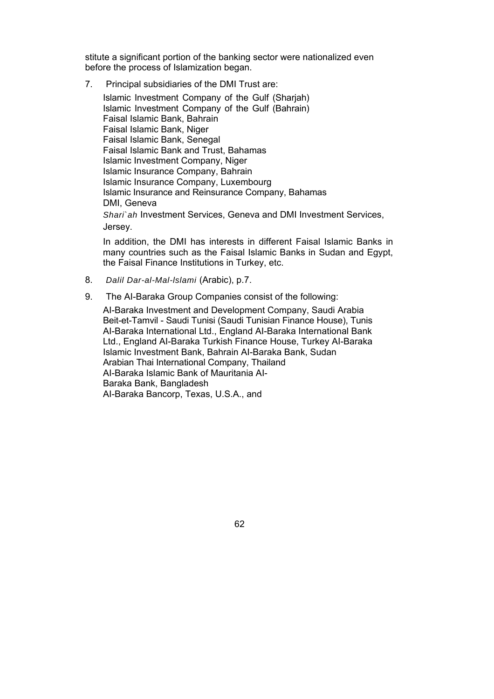stitute a significant portion of the banking sector were nationalized even before the process of Islamization began.

7. Principal subsidiaries of the DMI Trust are:

Islamic Investment Company of the Gulf (Sharjah) Islamic Investment Company of the Gulf (Bahrain) Faisal Islamic Bank, Bahrain Faisal Islamic Bank, Niger Faisal Islamic Bank, Senegal Faisal Islamic Bank and Trust, Bahamas Islamic Investment Company, Niger Islamic Insurance Company, Bahrain Islamic Insurance Company, Luxembourg Islamic Insurance and Reinsurance Company, Bahamas DMI, Geneva *Shari`ah* Investment Services, Geneva and DMI Investment Services, Jersey.

In addition, the DMI has interests in different Faisal Islamic Banks in many countries such as the Faisal Islamic Banks in Sudan and Egypt, the Faisal Finance Institutions in Turkey, etc.

- 8. *Dalil Dar-al-Mal-lslami* (Arabic), p.7.
- 9. The AI-Baraka Group Companies consist of the following:

AI-Baraka Investment and Development Company, Saudi Arabia Beit-et-Tamvil - Saudi Tunisi (Saudi Tunisian Finance House), Tunis AI-Baraka International Ltd., England AI-Baraka International Bank Ltd., England AI-Baraka Turkish Finance House, Turkey AI-Baraka Islamic Investment Bank, Bahrain AI-Baraka Bank, Sudan Arabian Thai International Company, Thailand AI-Baraka Islamic Bank of Mauritania AI-Baraka Bank, Bangladesh AI-Baraka Bancorp, Texas, U.S.A., and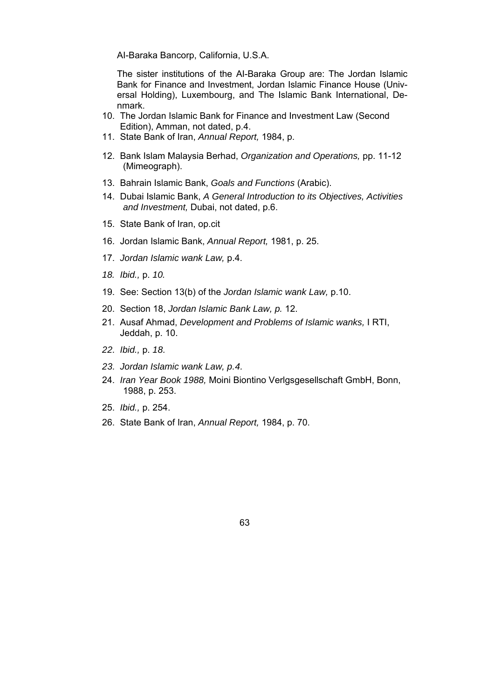AI-Baraka Bancorp, California, U.S.A.

The sister institutions of the AI-Baraka Group are: The Jordan Islamic Bank for Finance and Investment, Jordan Islamic Finance House (Universal Holding), Luxembourg, and The Islamic Bank International, Denmark.

- 10. The Jordan Islamic Bank for Finance and Investment Law (Second Edition), Amman, not dated, p.4.
- 11. State Bank of Iran, *Annual Report,* 1984, p.
- 12. Bank Islam Malaysia Berhad, *Organization and Operations,* pp. 11-12 (Mimeograph).
- 13. Bahrain Islamic Bank, *Goals and Functions* (Arabic).
- 14. Dubai Islamic Bank, *A General Introduction to its Objectives, Activities and Investment,* Dubai, not dated, p.6.
- 15. State Bank of Iran, op.cit
- 16. Jordan Islamic Bank, *Annual Report,* 1981, p. 25.
- 17. *Jordan Islamic wank Law,* p.4.
- *18. Ibid.,* p. *10.*
- 19. See: Section 13(b) of the *Jordan Islamic wank Law,* p.10.
- 20. Section 18, *Jordan Islamic Bank Law, p.* 12.
- 21. Ausaf Ahmad, *Development and Problems of Islamic wanks,* I RTI, Jeddah, p. 10.
- *22. Ibid.,* p. *18.*
- *23. Jordan Islamic wank Law, p.4.*
- 24. *Iran Year Book 1988,* Moini Biontino Verlgsgesellschaft GmbH, Bonn, 1988, p. 253.
- 25. *Ibid.,* p. 254.
- 26. State Bank of Iran, *Annual Report,* 1984, p. 70.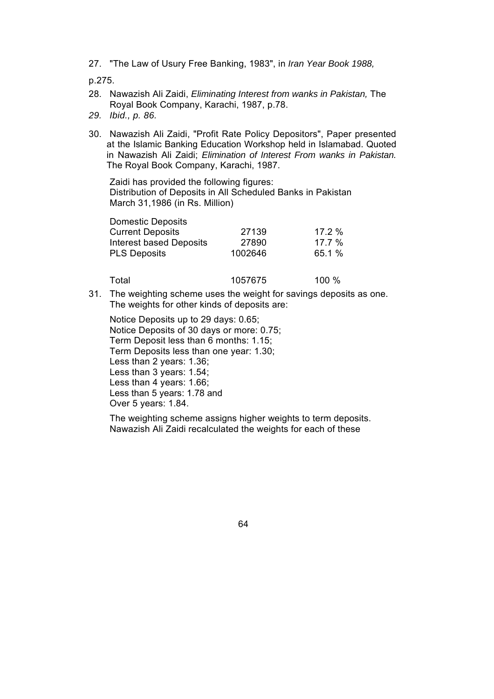27. "The Law of Usury Free Banking, 1983", in *Iran Year Book 1988,* 

p.275.

- 28. Nawazish Ali Zaidi, *Eliminating Interest from wanks in Pakistan,* The Royal Book Company, Karachi, 1987, p.78.
- *29. Ibid., p. 86.*
- 30. Nawazish Ali Zaidi, "Profit Rate Policy Depositors", Paper presented at the Islamic Banking Education Workshop held in Islamabad. Quoted in Nawazish Ali Zaidi; *Elimination of Interest From wanks in Pakistan.*  The Royal Book Company, Karachi, 1987.

Zaidi has provided the following figures: Distribution of Deposits in All Scheduled Banks in Pakistan March 31,1986 (in Rs. Million)

| <b>Domestic Deposits</b> |         |          |
|--------------------------|---------|----------|
| <b>Current Deposits</b>  | 27139   | 17.2 %   |
| Interest based Deposits  | 27890   | 17.7 $%$ |
| <b>PLS Deposits</b>      | 1002646 | 65.1 %   |

| Total | 1057675 | 100 % |
|-------|---------|-------|
|       |         |       |

31. The weighting scheme uses the weight for savings deposits as one. The weights for other kinds of deposits are:

Notice Deposits up to 29 days: 0.65; Notice Deposits of 30 days or more: 0.75; Term Deposit less than 6 months: 1.15; Term Deposits less than one year: 1.30; Less than 2 years: 1.36; Less than 3 years: 1.54; Less than 4 years: 1.66; Less than 5 years: 1.78 and Over 5 years: 1.84.

The weighting scheme assigns higher weights to term deposits. Nawazish Ali Zaidi recalculated the weights for each of these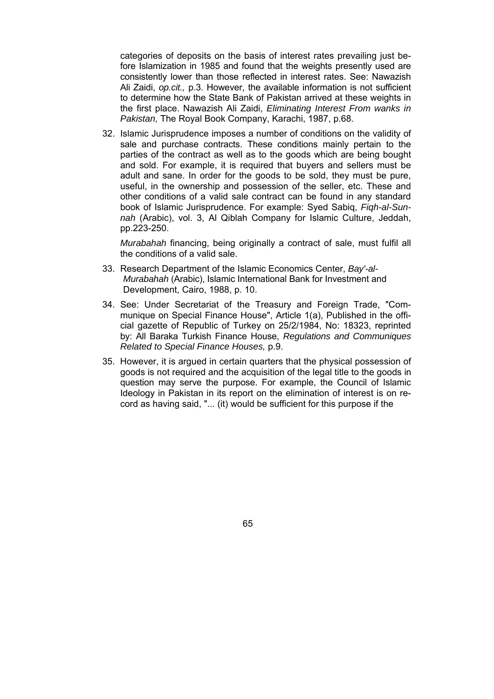categories of deposits on the basis of interest rates prevailing just before Islamization in 1985 and found that the weights presently used are consistently lower than those reflected in interest rates. See: Nawazish Ali Zaidi, *op.cit.,* p.3. However, the available information is not sufficient to determine how the State Bank of Pakistan arrived at these weights in the first place. Nawazish Ali Zaidi, *Eliminating Interest From wanks in Pakistan,* The Royal Book Company, Karachi, 1987, p.68.

32. Islamic Jurisprudence imposes a number of conditions on the validity of sale and purchase contracts. These conditions mainly pertain to the parties of the contract as well as to the goods which are being bought and sold. For example, it is required that buyers and sellers must be adult and sane. In order for the goods to be sold, they must be pure, useful, in the ownership and possession of the seller, etc. These and other conditions of a valid sale contract can be found in any standard book of Islamic Jurisprudence. For example: Syed Sabiq, *Fiqh-al-Sunnah* (Arabic), vol. 3, Al Qiblah Company for Islamic Culture, Jeddah, pp.223-250.

*Murabahah* financing, being originally a contract of sale, must fulfil all the conditions of a valid sale.

- 33. Research Department of the Islamic Economics Center, *Bay'-al-Murabahah* (Arabic), Islamic International Bank for Investment and Development, Cairo, 1988, p. 10.
- 34. See: Under Secretariat of the Treasury and Foreign Trade, "Communique on Special Finance House", Article 1(a), Published in the official gazette of Republic of Turkey on 25/2/1984, No: 18323, reprinted by: All Baraka Turkish Finance House, *Regulations and Communiques Related to Special Finance Houses,* p.9.
- 35. However, it is argued in certain quarters that the physical possession of goods is not required and the acquisition of the legal title to the goods in question may serve the purpose. For example, the Council of Islamic Ideology in Pakistan in its report on the elimination of interest is on record as having said, "... (it) would be sufficient for this purpose if the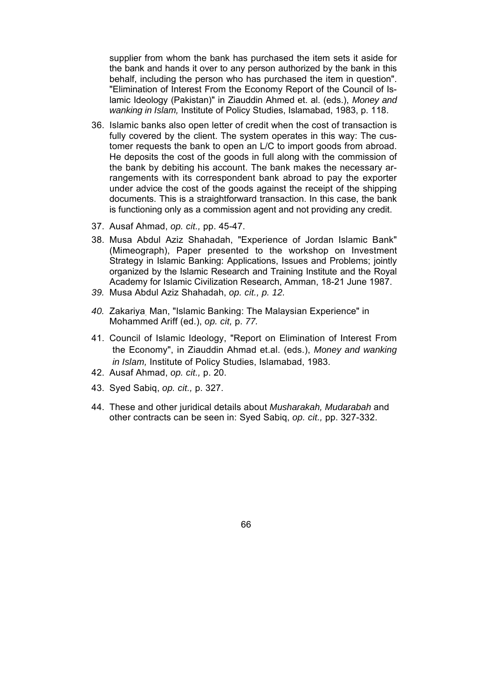supplier from whom the bank has purchased the item sets it aside for the bank and hands it over to any person authorized by the bank in this behalf, including the person who has purchased the item in question". "Elimination of Interest From the Economy Report of the Council of Islamic Ideology (Pakistan)" in Ziauddin Ahmed et. al. (eds.), *Money and wanking in Islam,* Institute of Policy Studies, Islamabad, 1983, p. 118.

- 36. Islamic banks also open letter of credit when the cost of transaction is fully covered by the client. The system operates in this way: The customer requests the bank to open an L/C to import goods from abroad. He deposits the cost of the goods in full along with the commission of the bank by debiting his account. The bank makes the necessary arrangements with its correspondent bank abroad to pay the exporter under advice the cost of the goods against the receipt of the shipping documents. This is a straightforward transaction. In this case, the bank is functioning only as a commission agent and not providing any credit.
- 37. Ausaf Ahmad, *op. cit.,* pp. 45-47.
- 38. Musa Abdul Aziz Shahadah, "Experience of Jordan Islamic Bank" (Mimeograph), Paper presented to the workshop on Investment Strategy in Islamic Banking: Applications, Issues and Problems; jointly organized by the Islamic Research and Training Institute and the Royal Academy for Islamic Civilization Research, Amman, 18-21 June 1987.
- *39.* Musa Abdul Aziz Shahadah, *op. cit., p. 12.*
- *40.* Zakariya. Man, "Islamic Banking: The Malaysian Experience" in Mohammed Ariff (ed.), *op. cit,* p. *77.*
- 41. Council of Islamic Ideology, "Report on Elimination of Interest From the Economy", in Ziauddin Ahmad et.al. (eds.), *Money and wanking in Islam,* Institute of Policy Studies, Islamabad, 1983.
- 42. Ausaf Ahmad, *op. cit.,* p. 20.
- 43. Syed Sabiq, *op. cit.,* p. 327.
- 44. These and other juridical details about *Musharakah, Mudarabah* and other contracts can be seen in: Syed Sabiq, *op. cit.,* pp. 327-332.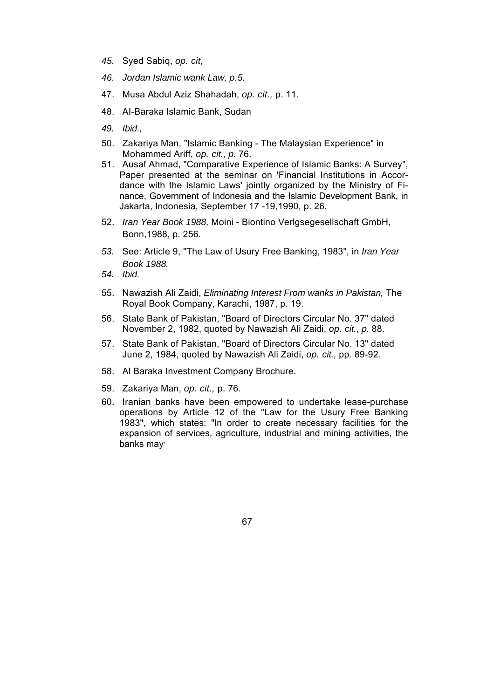- *45.* Syed Sabiq, *op. cit,*
- *46. Jordan Islamic wank Law, p.5.*
- 47. Musa Abdul Aziz Shahadah, *op. cit.,* p. 11.
- 48. AI-Baraka Islamic Bank, Sudan
- *49. Ibid.,*
- 50. Zakariya Man, "Islamic Banking The Malaysian Experience" in Mohammed Ariff, *op. cit., p.* 76.
- 51. Ausaf Ahmad, "Comparative Experience of Islamic Banks: A Survey", Paper presented at the seminar on 'Financial Institutions in Accordance with the Islamic Laws' jointly organized by the Ministry of Finance, Government of Indonesia and the Islamic Development Bank, in Jakarta, Indonesia, September 17 -19,1990, p. 26.
- 52. *Iran Year Book 1988,* Moini Biontino Verlgsegesellschaft GmbH, Bonn,1988, p. 256.
- *53.* See: Article 9, "The Law of Usury Free Banking, 1983", in *Iran Year Book 1988.*
- *54. Ibid.*
- 55. Nawazish Ali Zaidi, *Eliminating Interest From wanks in Pakistan,* The Royal Book Company, Karachi, 1987, p. 19.
- 56. State Bank of Pakistan, "Board of Directors Circular No. 37" dated November 2, 1982, quoted by Nawazish Ali Zaidi, *op. cit., p.* 88.
- 57. State Bank of Pakistan, "Board of Directors Circular No. 13" dated June 2, 1984, quoted by Nawazish Ali Zaidi, *op. cit.,* pp. 89-92.
- 58. Al Baraka Investment Company Brochure.
- 59. Zakariya Man, *op. cit.,* p. 76.
- 60. Iranian banks have been empowered to undertake lease-purchase operations by Article 12 of the "Law for the Usury Free Banking 1983", which states: "In order to create necessary facilities for the expansion of services, agriculture, industrial and mining activities, the banks may,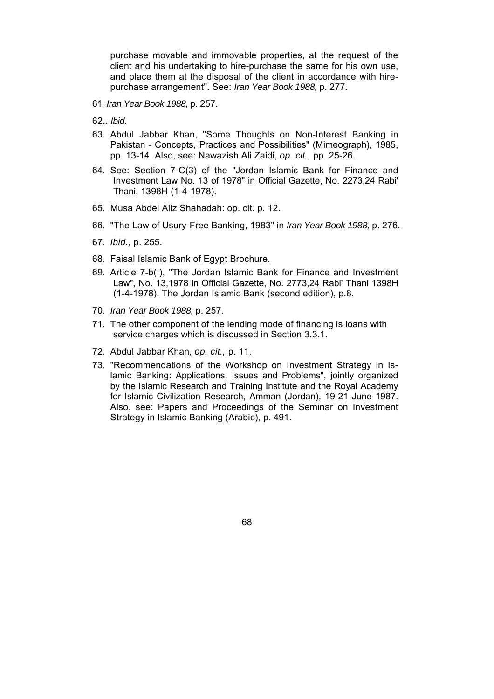purchase movable and immovable properties, at the request of the client and his undertaking to hire-purchase the same for his own use, and place them at the disposal of the client in accordance with hirepurchase arrangement". See: *Iran Year Book 1988,* p. 277.

- 61. *Iran Year Book 1988,* p. 257.
- 62**..** *Ibid.*
- 63. Abdul Jabbar Khan, "Some Thoughts on Non-Interest Banking in Pakistan - Concepts, Practices and Possibilities" (Mimeograph), 1985, pp. 13-14. Also, see: Nawazish Ali Zaidi, *op. cit.,* pp. 25-26.
- 64. See: Section 7-C(3) of the "Jordan Islamic Bank for Finance and Investment Law No. 13 of 1978" in Official Gazette, No. 2273,24 Rabi' Thani, 1398H (1-4-1978).
- 65. Musa Abdel Aiiz Shahadah: op. cit. p. 12.
- 66. "The Law of Usury-Free Banking, 1983" in *Iran Year Book 1988,* p. 276.
- 67. *Ibid.,* p. 255.
- 68. Faisal Islamic Bank of Egypt Brochure.
- 69. Article 7-b(I), "The Jordan Islamic Bank for Finance and Investment Law", No. 13,1978 in Official Gazette, No. 2773,24 Rabi' Thani 1398H (1-4-1978), The Jordan Islamic Bank (second edition), p.8.
- 70. *Iran Year Book 1988,* p. 257.
- 71. The other component of the lending mode of financing is loans with service charges which is discussed in Section 3.3.1.
- 72. Abdul Jabbar Khan, *op. cit.,* p. 11.
- 73. "Recommendations of the Workshop on Investment Strategy in Islamic Banking: Applications, Issues and Problems", jointly organized by the Islamic Research and Training Institute and the Royal Academy for Islamic Civilization Research, Amman (Jordan), 19-21 June 1987. Also, see: Papers and Proceedings of the Seminar on Investment Strategy in Islamic Banking (Arabic), p. 491.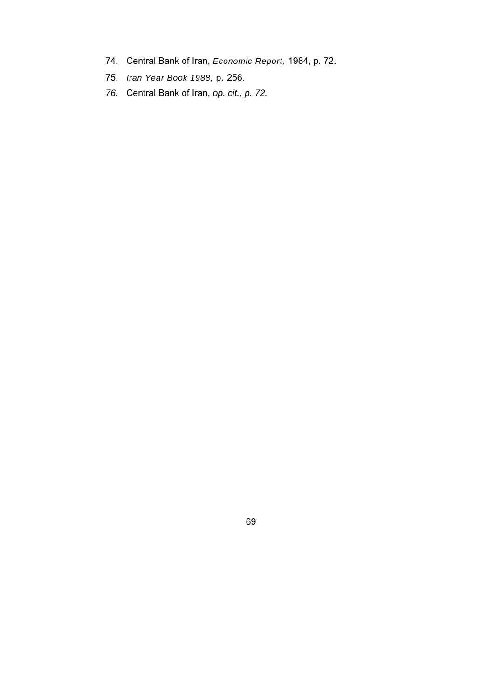- 74. Central Bank of Iran, *Economic Report,* 1984, p. 72.
- 75. *Iran Year Book 1988,* p. 256.
- *76.* Central Bank of Iran, *op. cit., p. 72.*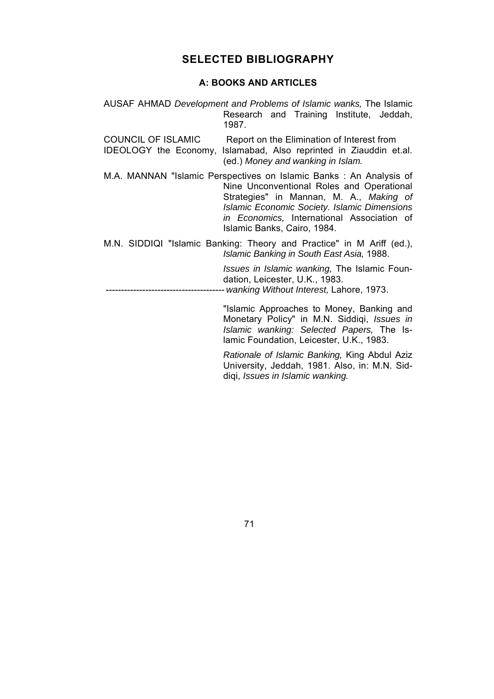# **SELECTED BIBLIOGRAPHY**

## **A: BOOKS AND ARTICLES**

|  | AUSAF AHMAD Development and Problems of Islamic wanks, The Islamic |       |  |  |  |  |                                          |  |
|--|--------------------------------------------------------------------|-------|--|--|--|--|------------------------------------------|--|
|  |                                                                    |       |  |  |  |  | Research and Training Institute, Jeddah, |  |
|  |                                                                    | 1987. |  |  |  |  |                                          |  |
|  |                                                                    |       |  |  |  |  |                                          |  |

COUNCIL OF ISLAMIC Report on the Elimination of Interest from IDEOLOGY the Economy, Islamabad, Also reprinted in Ziauddin et.al. (ed.) *Money and wanking in Islam.* 

- M.A. MANNAN "Islamic Perspectives on Islamic Banks : An Analysis of Nine Unconventional Roles and Operational Strategies" in Mannan, M. A., *Making of Islamic Economic Society. Islamic Dimensions in Economics,* International Association of Islamic Banks, Cairo, 1984.
- M.N. SIDDIQI "Islamic Banking: Theory and Practice" in M Ariff (ed.), *Islamic Banking in South East Asia,* 1988.

*Issues in Islamic wanking,* The Islamic Foundation, Leicester, U.K., 1983.

--------------------------------------- *wanking Without Interest,* Lahore, 1973.

 "Islamic Approaches to Money, Banking and Monetary Policy" in M.N. Siddiqi, *Issues in Islamic wanking: Selected Papers,* The Islamic Foundation, Leicester, U.K., 1983.

*Rationale of Islamic Banking,* King Abdul Aziz University, Jeddah, 1981. Also, in: M.N. Siddiqi, *Issues in Islamic wanking.*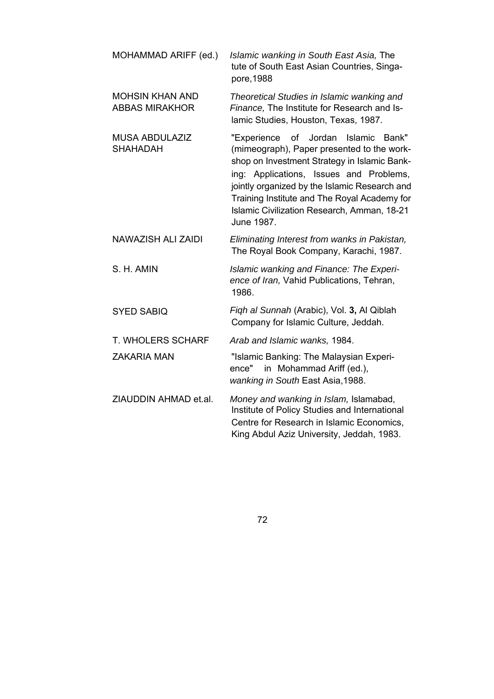| MOHAMMAD ARIFF (ed.)                            | Islamic wanking in South East Asia, The<br>tute of South East Asian Countries, Singa-<br>pore, 1988                                                                                                                                                                                                                                           |
|-------------------------------------------------|-----------------------------------------------------------------------------------------------------------------------------------------------------------------------------------------------------------------------------------------------------------------------------------------------------------------------------------------------|
| <b>MOHSIN KHAN AND</b><br><b>ABBAS MIRAKHOR</b> | Theoretical Studies in Islamic wanking and<br>Finance, The Institute for Research and Is-<br>lamic Studies, Houston, Texas, 1987.                                                                                                                                                                                                             |
| <b>MUSA ABDULAZIZ</b><br><b>SHAHADAH</b>        | "Experience of Jordan Islamic<br>Bank"<br>(mimeograph), Paper presented to the work-<br>shop on Investment Strategy in Islamic Bank-<br>ing: Applications, Issues and Problems,<br>jointly organized by the Islamic Research and<br>Training Institute and The Royal Academy for<br>Islamic Civilization Research, Amman, 18-21<br>June 1987. |
| <b>NAWAZISH ALI ZAIDI</b>                       | Eliminating Interest from wanks in Pakistan,<br>The Royal Book Company, Karachi, 1987.                                                                                                                                                                                                                                                        |
| S. H. AMIN                                      | Islamic wanking and Finance: The Experi-<br>ence of Iran, Vahid Publications, Tehran,<br>1986.                                                                                                                                                                                                                                                |
| <b>SYED SABIQ</b>                               | Figh al Sunnah (Arabic), Vol. 3, Al Qiblah<br>Company for Islamic Culture, Jeddah.                                                                                                                                                                                                                                                            |
| <b>T. WHOLERS SCHARF</b>                        | Arab and Islamic wanks, 1984.                                                                                                                                                                                                                                                                                                                 |
| <b>ZAKARIA MAN</b>                              | "Islamic Banking: The Malaysian Experi-<br>in Mohammad Ariff (ed.),<br>ence"<br>wanking in South East Asia, 1988.                                                                                                                                                                                                                             |
| ZIAUDDIN AHMAD et.al.                           | Money and wanking in Islam, Islamabad,<br>Institute of Policy Studies and International<br>Centre for Research in Islamic Economics,<br>King Abdul Aziz University, Jeddah, 1983.                                                                                                                                                             |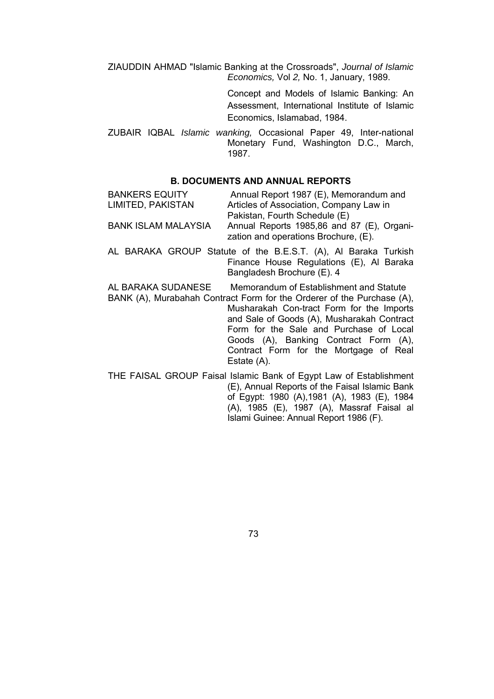ZIAUDDIN AHMAD "Islamic Banking at the Crossroads", *Journal of Islamic Economics,* Vol *2,* No. 1, January, 1989.

> Concept and Models of Islamic Banking: An Assessment, International Institute of Islamic Economics, Islamabad, 1984.

> Contract Form for the Mortgage of Real

ZUBAIR IQBAL *Islamic wanking,* Occasional Paper 49, Inter-national Monetary Fund, Washington D.C., March, 1987.

## **B. DOCUMENTS AND ANNUAL REPORTS**

| <b>BANKERS EQUITY</b> | Annual Report 1987 (E), Memorandum and                                                                                                                                                                                                                                                           |
|-----------------------|--------------------------------------------------------------------------------------------------------------------------------------------------------------------------------------------------------------------------------------------------------------------------------------------------|
| LIMITED, PAKISTAN     | Articles of Association, Company Law in                                                                                                                                                                                                                                                          |
| BANK ISLAM MALAYSIA   | Pakistan, Fourth Schedule (E)<br>Annual Reports 1985,86 and 87 (E), Organi-<br>zation and operations Brochure, (E).                                                                                                                                                                              |
|                       | AL BARAKA GROUP Statute of the B.E.S.T. (A), Al Baraka Turkish<br>Finance House Regulations (E), Al Baraka<br>Bangladesh Brochure (E). 4                                                                                                                                                         |
| AL BARAKA SUDANESE    | Memorandum of Establishment and Statute<br>BANK (A), Murabahah Contract Form for the Orderer of the Purchase (A),<br>Musharakah Con-tract Form for the Imports<br>and Sale of Goods (A), Musharakah Contract<br>Form for the Sale and Purchase of Local<br>Goods (A), Banking Contract Form (A), |

THE FAISAL GROUP Faisal Islamic Bank of Egypt Law of Establishment (E), Annual Reports of the Faisal Islamic Bank of Egypt: 1980 (A),1981 (A), 1983 (E), 1984 (A), 1985 (E), 1987 (A), Massraf Faisal al Islami Guinee: Annual Report 1986 (F).

Estate (A).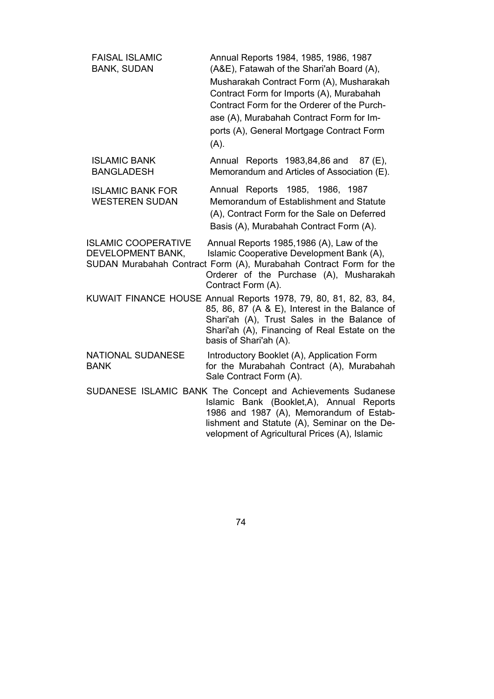FAISAL ISLAMIC Annual Reports 1984, 1985, 1986, 1987 BANK, SUDAN (A&E), Fatawah of the Shari'ah Board (A), Musharakah Contract Form (A), Musharakah Contract Form for Imports (A), Murabahah Contract Form for the Orderer of the Purch ase (A), Murabahah Contract Form for Im ports (A), General Mortgage Contract Form  $(A)$ . ISLAMIC BANK Annual Reports 1983,84,86 and 87 (E), BANGLADESH Memorandum and Articles of Association (E).

ISLAMIC BANK FOR Annual Reports 1985, 1986, 1987 WESTEREN SUDAN Memorandum of Establishment and Statute (A), Contract Form for the Sale on Deferred Basis (A), Murabahah Contract Form (A).

ISLAMIC COOPERATIVE Annual Reports 1985,1986 (A), Law of the DEVELOPMENT BANK, Islamic Cooperative Development Bank (A), SUDAN Murabahah Contract Form (A), Murabahah Contract Form for the

Orderer of the Purchase (A), Musharakah Contract Form (A).

KUWAIT FINANCE HOUSE Annual Reports 1978, 79, 80, 81, 82, 83, 84, 85, 86, 87 (A & E), Interest in the Balance of Shari'ah (A), Trust Sales in the Balance of Shari'ah (A), Financing of Real Estate on the basis of Shari'ah (A).

NATIONAL SUDANESE Introductory Booklet (A), Application Form BANK **for the Murabahah Contract (A), Murabahah** Sale Contract Form (A).

SUDANESE ISLAMIC BANK The Concept and Achievements Sudanese Islamic Bank (Booklet,A), Annual Reports 1986 and 1987 (A), Memorandum of Establishment and Statute (A), Seminar on the Development of Agricultural Prices (A), Islamic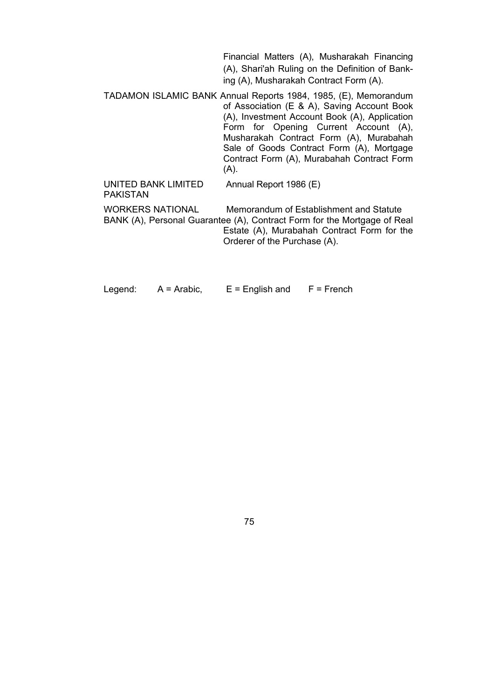Financial Matters (A), Musharakah Financing (A), Shari'ah Ruling on the Definition of Banking (A), Musharakah Contract Form (A).

TADAMON ISLAMIC BANK Annual Reports 1984, 1985, (E), Memorandum of Association (E & A), Saving Account Book (A), Investment Account Book (A), Application Form for Opening Current Account (A), Musharakah Contract Form (A), Murabahah Sale of Goods Contract Form (A), Mortgage Contract Form (A), Murabahah Contract Form (A).

UNITED BANK LIMITED Annual Report 1986 (E) PAKISTAN

WORKERS NATIONAL Memorandum of Establishment and Statute BANK (A), Personal Guarantee (A), Contract Form for the Mortgage of Real Estate (A), Murabahah Contract Form for the Orderer of the Purchase (A).

Legend:  $A = \text{Arabic}$ ,  $E = \text{English and } F = \text{French}$